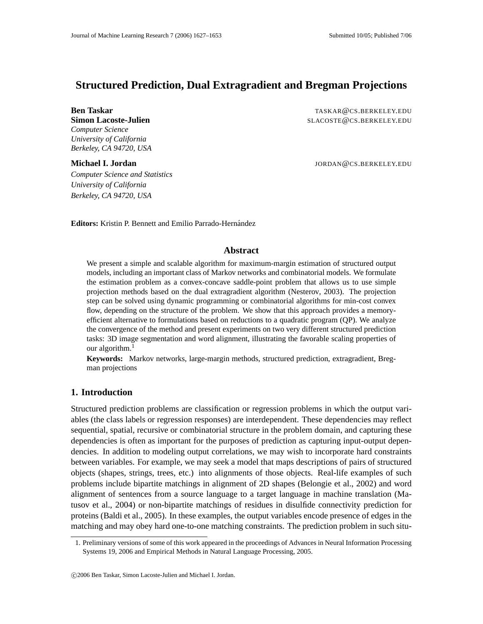# **Structured Prediction, Dual Extragradient and Bregman Projections**

*Computer Science University of California Berkeley, CA 94720, USA*

**Ben Taskar** TASKAR @CS.BERKELEY.EDU **Simon Lacoste-Julien** SLACOSTE @CS.BERKELEY.EDU

**Michael I. Jordan** John Muchael **I. Jordan** Jordan Jordan Jordan Jordan Jordan Jordan Jordan Jordan Jordan Jordan Jordan Jordan Jordan Jordan Jordan Jordan Jordan Jordan Jordan Jordan Jordan Jordan Jordan Jordan Jordan Jo

*Computer Science and Statistics University of California Berkeley, CA 94720, USA*

**Editors:** Kristin P. Bennett and Emilio Parrado-Hernández

## **Abstract**

We present a simple and scalable algorithm for maximum-margin estimation of structured output models, including an important class of Markov networks and combinatorial models. We formulate the estimation problem as a convex-concave saddle-point problem that allows us to use simple projection methods based on the dual extragradient algorithm (Nesterov, 2003). The projection step can be solved using dynamic programming or combinatorial algorithms for min-cost convex flow, depending on the structure of the problem. We show that this approach provides a memoryefficient alternative to formulations based on reductions to a quadratic program (QP). We analyze the convergence of the method and present experiments on two very different structured prediction tasks: 3D image segmentation and word alignment, illustrating the favorable scaling properties of our algorithm. $<sup>1</sup>$ </sup>

**Keywords:** Markov networks, large-margin methods, structured prediction, extragradient, Bregman projections

# **1. Introduction**

Structured prediction problems are classification or regression problems in which the output variables (the class labels or regression responses) are interdependent. These dependencies may reflect sequential, spatial, recursive or combinatorial structure in the problem domain, and capturing these dependencies is often as important for the purposes of prediction as capturing input-output dependencies. In addition to modeling output correlations, we may wish to incorporate hard constraints between variables. For example, we may seek a model that maps descriptions of pairs of structured objects (shapes, strings, trees, etc.) into alignments of those objects. Real-life examples of such problems include bipartite matchings in alignment of 2D shapes (Belongie et al., 2002) and word alignment of sentences from a source language to a target language in machine translation (Matusov et al., 2004) or non-bipartite matchings of residues in disulfide connectivity prediction for proteins (Baldi et al., 2005). In these examples, the output variables encode presence of edges in the matching and may obey hard one-to-one matching constraints. The prediction problem in such situ-

<sup>1.</sup> Preliminary versions of some of this work appeared in the proceedings of Advances in Neural Information Processing Systems 19, 2006 and Empirical Methods in Natural Language Processing, 2005.

c 2006 Ben Taskar, Simon Lacoste-Julien and Michael I. Jordan.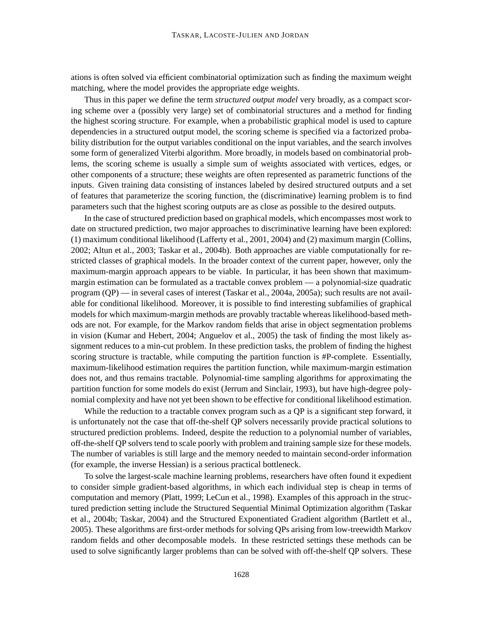ations is often solved via efficient combinatorial optimization such as finding the maximum weight matching, where the model provides the appropriate edge weights.

Thus in this paper we define the term *structured output model* very broadly, as a compact scoring scheme over a (possibly very large) set of combinatorial structures and a method for finding the highest scoring structure. For example, when a probabilistic graphical model is used to capture dependencies in a structured output model, the scoring scheme is specified via a factorized probability distribution for the output variables conditional on the input variables, and the search involves some form of generalized Viterbi algorithm. More broadly, in models based on combinatorial problems, the scoring scheme is usually a simple sum of weights associated with vertices, edges, or other components of a structure; these weights are often represented as parametric functions of the inputs. Given training data consisting of instances labeled by desired structured outputs and a set of features that parameterize the scoring function, the (discriminative) learning problem is to find parameters such that the highest scoring outputs are as close as possible to the desired outputs.

In the case of structured prediction based on graphical models, which encompasses most work to date on structured prediction, two major approaches to discriminative learning have been explored: (1) maximum conditional likelihood (Lafferty et al., 2001, 2004) and (2) maximum margin (Collins, 2002; Altun et al., 2003; Taskar et al., 2004b). Both approaches are viable computationally for restricted classes of graphical models. In the broader context of the current paper, however, only the maximum-margin approach appears to be viable. In particular, it has been shown that maximummargin estimation can be formulated as a tractable convex problem — a polynomial-size quadratic program (QP) — in several cases of interest (Taskar et al., 2004a, 2005a); such results are not available for conditional likelihood. Moreover, it is possible to find interesting subfamilies of graphical models for which maximum-margin methods are provably tractable whereas likelihood-based methods are not. For example, for the Markov random fields that arise in object segmentation problems in vision (Kumar and Hebert, 2004; Anguelov et al., 2005) the task of finding the most likely assignment reduces to a min-cut problem. In these prediction tasks, the problem of finding the highest scoring structure is tractable, while computing the partition function is #P-complete. Essentially, maximum-likelihood estimation requires the partition function, while maximum-margin estimation does not, and thus remains tractable. Polynomial-time sampling algorithms for approximating the partition function for some models do exist (Jerrum and Sinclair, 1993), but have high-degree polynomial complexity and have not yet been shown to be effective for conditional likelihood estimation.

While the reduction to a tractable convex program such as a QP is a significant step forward, it is unfortunately not the case that off-the-shelf QP solvers necessarily provide practical solutions to structured prediction problems. Indeed, despite the reduction to a polynomial number of variables, off-the-shelf QP solvers tend to scale poorly with problem and training sample size for these models. The number of variables is still large and the memory needed to maintain second-order information (for example, the inverse Hessian) is a serious practical bottleneck.

To solve the largest-scale machine learning problems, researchers have often found it expedient to consider simple gradient-based algorithms, in which each individual step is cheap in terms of computation and memory (Platt, 1999; LeCun et al., 1998). Examples of this approach in the structured prediction setting include the Structured Sequential Minimal Optimization algorithm (Taskar et al., 2004b; Taskar, 2004) and the Structured Exponentiated Gradient algorithm (Bartlett et al., 2005). These algorithms are first-order methods for solving QPs arising from low-treewidth Markov random fields and other decomposable models. In these restricted settings these methods can be used to solve significantly larger problems than can be solved with off-the-shelf QP solvers. These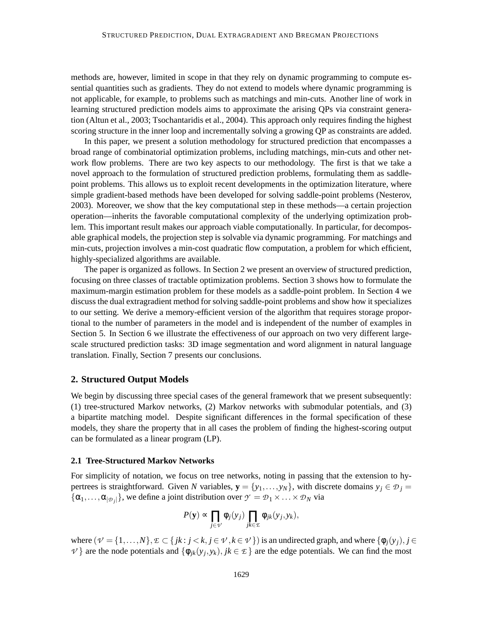methods are, however, limited in scope in that they rely on dynamic programming to compute essential quantities such as gradients. They do not extend to models where dynamic programming is not applicable, for example, to problems such as matchings and min-cuts. Another line of work in learning structured prediction models aims to approximate the arising QPs via constraint generation (Altun et al., 2003; Tsochantaridis et al., 2004). This approach only requires finding the highest scoring structure in the inner loop and incrementally solving a growing QP as constraints are added.

In this paper, we present a solution methodology for structured prediction that encompasses a broad range of combinatorial optimization problems, including matchings, min-cuts and other network flow problems. There are two key aspects to our methodology. The first is that we take a novel approach to the formulation of structured prediction problems, formulating them as saddlepoint problems. This allows us to exploit recent developments in the optimization literature, where simple gradient-based methods have been developed for solving saddle-point problems (Nesterov, 2003). Moreover, we show that the key computational step in these methods—a certain projection operation—inherits the favorable computational complexity of the underlying optimization problem. This important result makes our approach viable computationally. In particular, for decomposable graphical models, the projection step is solvable via dynamic programming. For matchings and min-cuts, projection involves a min-cost quadratic flow computation, a problem for which efficient, highly-specialized algorithms are available.

The paper is organized as follows. In Section 2 we present an overview of structured prediction, focusing on three classes of tractable optimization problems. Section 3 shows how to formulate the maximum-margin estimation problem for these models as a saddle-point problem. In Section 4 we discuss the dual extragradient method for solving saddle-point problems and show how it specializes to our setting. We derive a memory-efficient version of the algorithm that requires storage proportional to the number of parameters in the model and is independent of the number of examples in Section 5. In Section 6 we illustrate the effectiveness of our approach on two very different largescale structured prediction tasks: 3D image segmentation and word alignment in natural language translation. Finally, Section 7 presents our conclusions.

## **2. Structured Output Models**

We begin by discussing three special cases of the general framework that we present subsequently: (1) tree-structured Markov networks, (2) Markov networks with submodular potentials, and (3) a bipartite matching model. Despite significant differences in the formal specification of these models, they share the property that in all cases the problem of finding the highest-scoring output can be formulated as a linear program (LP).

## **2.1 Tree-Structured Markov Networks**

For simplicity of notation, we focus on tree networks, noting in passing that the extension to hypertrees is straightforward. Given *N* variables,  $\mathbf{y} = \{y_1, \ldots, y_N\}$ , with discrete domains  $y_j \in \mathcal{D}_j$  $\{\alpha_1, \dots, \alpha_{|\mathcal{D}_j|}\}\$ , we define a joint distribution over  $\mathcal{Y} = \mathcal{D}_1 \times \dots \times \mathcal{D}_N$  via

$$
P(\mathbf{y}) \propto \prod_{j \in \mathcal{V}} \phi_j(y_j) \prod_{jk \in \mathcal{L}} \phi_{jk}(y_j, y_k),
$$

where  $(\mathcal{V} = \{1, ..., N\}, \mathcal{E} \subset \{jk : j < k, j \in \mathcal{V}, k \in \mathcal{V}\})$  is an undirected graph, and where  $\{\phi_j(y_j), j \in \mathcal{V}, k \in \mathcal{V}\}$  $V$ } are the node potentials and  $\{\phi_{jk}(y_j, y_k), jk \in \mathcal{I}\}\$  are the edge potentials. We can find the most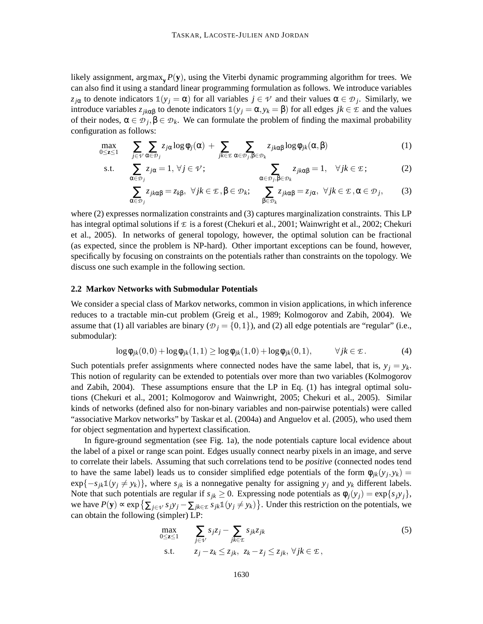likely assignment, argmax<sub>y</sub>  $P(y)$ , using the Viterbi dynamic programming algorithm for trees. We can also find it using a standard linear programming formulation as follows. We introduce variables *z*<sub>*j*α</sub> to denote indicators  $\mathbb{1}(y_j = \alpha)$  for all variables  $j \in \mathcal{V}$  and their values  $\alpha \in \mathcal{D}_j$ . Similarly, we introduce variables  $z_{jk\alpha\beta}$  to denote indicators  $\mathbb{1}(y_j = \alpha, y_k = \beta)$  for all edges  $jk \in \mathcal{E}$  and the values of their nodes,  $\alpha \in \mathcal{D}_j$ ,  $\beta \in \mathcal{D}_k$ . We can formulate the problem of finding the maximal probability configuration as follows:

$$
\max_{0 \leq z \leq 1} \sum_{j \in \mathcal{V}} \sum_{\alpha \in \mathcal{D}_j} z_{j\alpha} \log \phi_j(\alpha) + \sum_{jk \in \mathcal{I}} \sum_{\alpha \in \mathcal{D}_j, \beta \in \mathcal{D}_k} z_{jk\alpha\beta} \log \phi_{jk}(\alpha, \beta) \tag{1}
$$

s.t. 
$$
\sum_{\alpha \in \mathcal{D}_j} z_{j\alpha} = 1, \forall j \in \mathcal{V}; \qquad \sum_{\alpha \in \mathcal{D}_j, \beta \in \mathcal{D}_k} z_{jk\alpha\beta} = 1, \quad \forall jk \in \mathcal{E};
$$
 (2)

$$
\sum_{\alpha \in \mathcal{D}_j} z_{jk\alpha\beta} = z_{k\beta}, \ \ \forall jk \in \mathcal{I}, \beta \in \mathcal{D}_k; \quad \sum_{\beta \in \mathcal{D}_k} z_{jk\alpha\beta} = z_{j\alpha}, \ \ \forall jk \in \mathcal{I}, \alpha \in \mathcal{D}_j,
$$
 (3)

where (2) expresses normalization constraints and (3) captures marginalization constraints. This LP has integral optimal solutions if *E* is a forest (Chekuri et al., 2001; Wainwright et al., 2002; Chekuri et al., 2005). In networks of general topology, however, the optimal solution can be fractional (as expected, since the problem is NP-hard). Other important exceptions can be found, however, specifically by focusing on constraints on the potentials rather than constraints on the topology. We discuss one such example in the following section.

#### **2.2 Markov Networks with Submodular Potentials**

We consider a special class of Markov networks, common in vision applications, in which inference reduces to a tractable min-cut problem (Greig et al., 1989; Kolmogorov and Zabih, 2004). We assume that (1) all variables are binary ( $\mathcal{D}_i = \{0,1\}$ ), and (2) all edge potentials are "regular" (i.e., submodular):

$$
\log \phi_{jk}(0,0) + \log \phi_{jk}(1,1) \ge \log \phi_{jk}(1,0) + \log \phi_{jk}(0,1), \qquad \forall jk \in \mathcal{E}.
$$
 (4)

Such potentials prefer assignments where connected nodes have the same label, that is,  $y_j = y_k$ . This notion of regularity can be extended to potentials over more than two variables (Kolmogorov and Zabih, 2004). These assumptions ensure that the LP in Eq. (1) has integral optimal solutions (Chekuri et al., 2001; Kolmogorov and Wainwright, 2005; Chekuri et al., 2005). Similar kinds of networks (defined also for non-binary variables and non-pairwise potentials) were called "associative Markov networks" by Taskar et al. (2004a) and Anguelov et al. (2005), who used them for object segmentation and hypertext classification.

In figure-ground segmentation (see Fig. 1a), the node potentials capture local evidence about the label of a pixel or range scan point. Edges usually connect nearby pixels in an image, and serve to correlate their labels. Assuming that such correlations tend to be *positive* (connected nodes tend to have the same label) leads us to consider simplified edge potentials of the form  $\phi_{jk}(y_j, y_k) =$  $\exp\{-s_{jk}\mathbb{1}(y_j \neq y_k)\}\$ , where  $s_{jk}$  is a nonnegative penalty for assigning  $y_j$  and  $y_k$  different labels. Note that such potentials are regular if  $s_{jk} \geq 0$ . Expressing node potentials as  $\phi_i(y_i) = \exp\{s_i y_i\}$ , we have  $P(y) \propto \exp\left\{\sum_{j \in \mathcal{V}} s_j y_j - \sum_{jk \in \mathcal{L}} s_{jk} \mathbb{1}(y_j \neq y_k)\right\}$ . Under this restriction on the potentials, we can obtain the following (simpler) LP:

$$
\max_{0 \le z \le 1} \sum_{j \in \mathcal{V}} s_j z_j - \sum_{jk \in \mathcal{E}} s_{jk} z_{jk}
$$
\n
$$
\text{s.t.} \quad z_j - z_k \le z_{jk}, \ z_k - z_j \le z_{jk}, \ \forall j k \in \mathcal{E},
$$
\n
$$
(5)
$$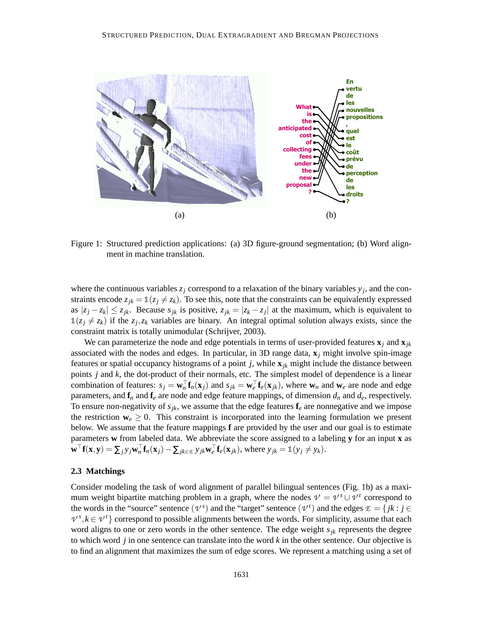

Figure 1: Structured prediction applications: (a) 3D figure-ground segmentation; (b) Word alignment in machine translation.

where the continuous variables  $z_j$  correspond to a relaxation of the binary variables  $y_j$ , and the constraints encode  $z_{jk} = \mathbb{1}(z_j \neq z_k)$ . To see this, note that the constraints can be equivalently expressed as  $|z_j - z_k| \leq z_{jk}$ . Because  $s_{jk}$  is positive,  $z_{jk} = |z_k - z_j|$  at the maximum, which is equivalent to  $\mathbb{1}(z_j \neq z_k)$  if the  $z_j, z_k$  variables are binary. An integral optimal solution always exists, since the constraint matrix is totally unimodular (Schrijver, 2003).

We can parameterize the node and edge potentials in terms of user-provided features  $\mathbf{x}_i$  and  $\mathbf{x}_{ik}$ associated with the nodes and edges. In particular, in 3D range data, **x***<sup>j</sup>* might involve spin-image features or spatial occupancy histograms of a point  $j$ , while  $\mathbf{x}_{jk}$  might include the distance between points *j* and *k*, the dot-product of their normals, etc. The simplest model of dependence is a linear combination of features:  $s_j = \mathbf{w}_n^{\top} \mathbf{f}_n(\mathbf{x}_j)$  and  $s_{jk} = \mathbf{w}_e^{\top} \mathbf{f}_e(\mathbf{x}_{jk})$ , where  $\mathbf{w}_n$  and  $\mathbf{w}_e$  are node and edge parameters, and  $f_n$  and  $f_e$  are node and edge feature mappings, of dimension  $d_n$  and  $d_e$ , respectively. To ensure non-negativity of  $s_{jk}$ , we assume that the edge features  $f_e$  are nonnegative and we impose the restriction  $\mathbf{w}_e \geq 0$ . This constraint is incorporated into the learning formulation we present below. We assume that the feature mappings **f** are provided by the user and our goal is to estimate parameters **w** from labeled data. We abbreviate the score assigned to a labeling **y** for an input **x** as  $\mathbf{w}^{\top} \mathbf{f}(\mathbf{x}, \mathbf{y}) = \sum_j y_j \mathbf{w}_n^{\top} \mathbf{f}_n(\mathbf{x}_j) - \sum_{jk \in \mathcal{L}} y_{jk} \mathbf{w}_e^{\top} \mathbf{f}_e(\mathbf{x}_{jk}),$  where  $y_{jk} = \mathbb{1}(y_j \neq y_k)$ .

## **2.3 Matchings**

Consider modeling the task of word alignment of parallel bilingual sentences (Fig. 1b) as a maximum weight bipartite matching problem in a graph, where the nodes  $V = V^s \cup V^t$  correspond to the words in the "source" sentence  $(\nu^s)$  and the "target" sentence  $(\nu^t)$  and the edges  $\mathcal{E} = \{jk : j \in \mathcal{E}\}$  $V^s, k \in V^t$ } correspond to possible alignments between the words. For simplicity, assume that each word aligns to one or zero words in the other sentence. The edge weight *sjk* represents the degree to which word *j* in one sentence can translate into the word *k* in the other sentence. Our objective is to find an alignment that maximizes the sum of edge scores. We represent a matching using a set of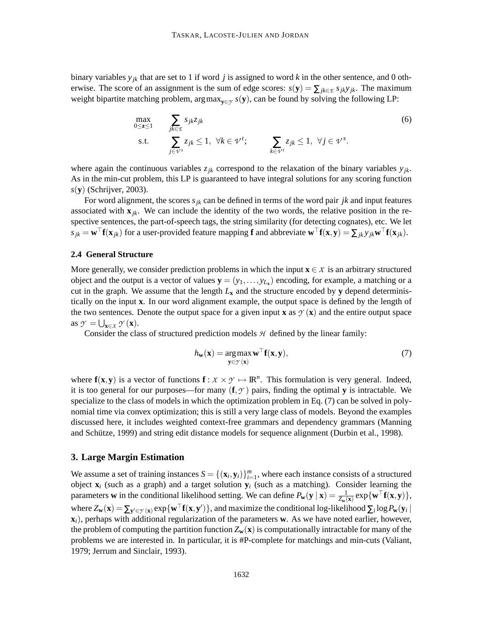binary variables  $y_{jk}$  that are set to 1 if word *j* is assigned to word *k* in the other sentence, and 0 otherwise. The score of an assignment is the sum of edge scores:  $s(\mathbf{y}) = \sum_{jk \in E} s_{jk} y_{jk}$ . The maximum weight bipartite matching problem, argmax**y**∈*<sup>Y</sup> s*(**y**), can be found by solving the following LP:

$$
\max_{0 \le z \le 1} \sum_{j \in \mathcal{E}} s_{jk} z_{jk} \tag{6}
$$
\n
$$
\text{s.t.} \sum_{j \in \mathcal{V}^s} z_{jk} \le 1, \ \forall k \in \mathcal{V}^t; \sum_{k \in \mathcal{V}^t} z_{jk} \le 1, \ \forall j \in \mathcal{V}^s.
$$

where again the continuous variables  $z_{jk}$  correspond to the relaxation of the binary variables  $y_{jk}$ . As in the min-cut problem, this LP is guaranteed to have integral solutions for any scoring function *s*(**y**) (Schrijver, 2003).

For word alignment, the scores  $s_{jk}$  can be defined in terms of the word pair *jk* and input features associated with  $\mathbf{x}_{ik}$ . We can include the identity of the two words, the relative position in the respective sentences, the part-of-speech tags, the string similarity (for detecting cognates), etc. We let  $s_{jk} = \mathbf{w}^\top \mathbf{f}(\mathbf{x}_{jk})$  for a user-provided feature mapping **f** and abbreviate  $\mathbf{w}^\top \mathbf{f}(\mathbf{x}, \mathbf{y}) = \sum_{jk} y_{jk} \mathbf{w}^\top \mathbf{f}(\mathbf{x}_{jk})$ .

### **2.4 General Structure**

More generally, we consider prediction problems in which the input  $\mathbf{x} \in \mathcal{X}$  is an arbitrary structured object and the output is a vector of values  $\mathbf{y} = (y_1, \dots, y_{L_x})$  encoding, for example, a matching or a cut in the graph. We assume that the length  $L<sub>x</sub>$  and the structure encoded by **y** depend deterministically on the input **x**. In our word alignment example, the output space is defined by the length of the two sentences. Denote the output space for a given input **x** as  $\mathcal{Y}(\mathbf{x})$  and the entire output space as  $\mathcal{Y} = \bigcup_{\mathbf{x} \in \mathcal{X}} \mathcal{Y}(\mathbf{x})$ .

Consider the class of structured prediction models *H* defined by the linear family:

$$
h_{\mathbf{w}}(\mathbf{x}) = \underset{\mathbf{y} \in \mathcal{D}(\mathbf{x})}{\arg \max} \mathbf{w}^{\top} \mathbf{f}(\mathbf{x}, \mathbf{y}),\tag{7}
$$

where  $f(x, y)$  is a vector of functions  $f: X \times Y \mapsto \mathbb{R}^n$ . This formulation is very general. Indeed, it is too general for our purposes—for many  $(f, \gamma)$  pairs, finding the optimal **y** is intractable. We specialize to the class of models in which the optimization problem in Eq. (7) can be solved in polynomial time via convex optimization; this is still a very large class of models. Beyond the examples discussed here, it includes weighted context-free grammars and dependency grammars (Manning and Schütze, 1999) and string edit distance models for sequence alignment (Durbin et al., 1998).

## **3. Large Margin Estimation**

We assume a set of training instances  $S = \{(\mathbf{x}_i, \mathbf{y}_i)\}_{i=1}^m$ , where each instance consists of a structured object **x***<sup>i</sup>* (such as a graph) and a target solution **y***<sup>i</sup>* (such as a matching). Consider learning the parameters **w** in the conditional likelihood setting. We can define  $P_w(y | x) = \frac{1}{Z_w(x)} exp\{w^\top f(x, y)\},$ where  $Z_w(\mathbf{x}) = \sum_{\mathbf{y}' \in \mathcal{Y}(\mathbf{x})} \exp\{\mathbf{w}^\top \mathbf{f}(\mathbf{x}, \mathbf{y}')\}$ , and maximize the conditional log-likelihood  $\sum_i \log P_{\mathbf{w}}(\mathbf{y}_i \mid \mathbf{y})$ **x***i*), perhaps with additional regularization of the parameters **w**. As we have noted earlier, however, the problem of computing the partition function  $Z_w(x)$  is computationally intractable for many of the problems we are interested in. In particular, it is #P-complete for matchings and min-cuts (Valiant, 1979; Jerrum and Sinclair, 1993).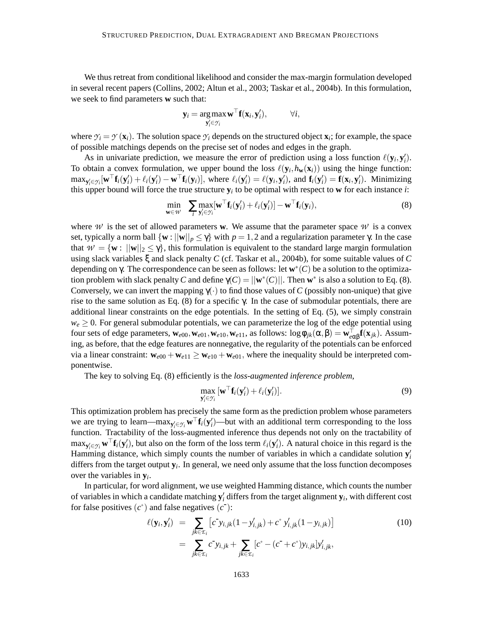We thus retreat from conditional likelihood and consider the max-margin formulation developed in several recent papers (Collins, 2002; Altun et al., 2003; Taskar et al., 2004b). In this formulation, we seek to find parameters **w** such that:

$$
\mathbf{y}_i = \operatorname*{arg\,max}_{\mathbf{y}_i' \in \mathcal{Y}_i} \mathbf{w}^\top \mathbf{f}(\mathbf{x}_i, \mathbf{y}_i'), \qquad \forall i,
$$

where  $\gamma_i = \gamma(\mathbf{x}_i)$ . The solution space  $\gamma_i$  depends on the structured object  $\mathbf{x}_i$ ; for example, the space of possible matchings depends on the precise set of nodes and edges in the graph.

As in univariate prediction, we measure the error of prediction using a loss function  $\ell(\mathbf{y}_i, \mathbf{y}_i)$ . To obtain a convex formulation, we upper bound the loss  $\ell(\mathbf{y}_i, h_{\mathbf{w}}(\mathbf{x}_i))$  using the hinge function:  $\max_{\mathbf{y}'_i \in \mathcal{Y}_i} [\mathbf{w}^\top \mathbf{f}_i(\mathbf{y}'_i) + \ell_i(\mathbf{y}'_i) - \mathbf{w}^\top \mathbf{f}_i(\mathbf{y}_i)],$  where  $\ell_i(\mathbf{y}'_i) = \ell(\mathbf{y}_i, \mathbf{y}'_i)$ , and  $\mathbf{f}_i(\mathbf{y}'_i) = \mathbf{f}(\mathbf{x}_i, \mathbf{y}'_i)$ . Minimizing this upper bound will force the true structure  $y_i$  to be optimal with respect to  $w$  for each instance *i*:

$$
\min_{\mathbf{w}\in\mathcal{W}} \quad \sum_{i} \max_{\mathbf{y}'_i\in\mathcal{Y}_i} [\mathbf{w}^\top \mathbf{f}_i(\mathbf{y}'_i) + \ell_i(\mathbf{y}'_i)] - \mathbf{w}^\top \mathbf{f}_i(\mathbf{y}_i),
$$
\n(8)

where *W* is the set of allowed parameters **w**. We assume that the parameter space *W* is a convex set, typically a norm ball  $\{w : ||w||_p \leq \gamma\}$  with  $p = 1, 2$  and a regularization parameter  $\gamma$ . In the case that  $W = \{w : ||w||_2 \le \gamma\}$ , this formulation is equivalent to the standard large margin formulation using slack variables ξ and slack penalty *C* (cf. Taskar et al., 2004b), for some suitable values of *C* depending on γ. The correspondence can be seen as follows: let **w** ∗ (*C*) be a solution to the optimization problem with slack penalty *C* and define  $\gamma(C) = ||\mathbf{w}^*(C)||$ . Then  $\mathbf{w}^*$  is also a solution to Eq. (8). Conversely, we can invert the mapping  $\gamma(\cdot)$  to find those values of *C* (possibly non-unique) that give rise to the same solution as Eq. (8) for a specific γ. In the case of submodular potentials, there are additional linear constraints on the edge potentials. In the setting of Eq. (5), we simply constrain  $w_e \ge 0$ . For general submodular potentials, we can parameterize the log of the edge potential using four sets of edge parameters,  $\mathbf{w}_{e00}$ ,  $\mathbf{w}_{e01}$ ,  $\mathbf{w}_{e10}$ ,  $\mathbf{w}_{e11}$ , as follows: log  $\phi_{jk}(\alpha, \beta) = \mathbf{w}_{e\alpha\beta}^{\top} \mathbf{f}(\mathbf{x}_{jk})$ . Assuming, as before, that the edge features are nonnegative, the regularity of the potentials can be enforced via a linear constraint:  $\mathbf{w}_{e00} + \mathbf{w}_{e11} \geq \mathbf{w}_{e10} + \mathbf{w}_{e01}$ , where the inequality should be interpreted componentwise.

The key to solving Eq. (8) efficiently is the *loss-augmented inference problem*,

$$
\max_{\mathbf{y}'_i \in \mathcal{Y}_i} \left[ \mathbf{w}^\top \mathbf{f}_i(\mathbf{y}'_i) + \ell_i(\mathbf{y}'_i) \right]. \tag{9}
$$

This optimization problem has precisely the same form as the prediction problem whose parameters we are trying to learn—max $_{y_i' \in Y_i}$   $\mathbf{w}^{\top} \mathbf{f}_i(\mathbf{y}_i')$ —but with an additional term corresponding to the loss function. Tractability of the loss-augmented inference thus depends not only on the tractability of  $\max_{\mathbf{y}'_i \in \mathcal{Y}_i} \mathbf{w}^{\top} \mathbf{f}_i(\mathbf{y}'_i)$ , but also on the form of the loss term  $\ell_i(\mathbf{y}'_i)$ . A natural choice in this regard is the Hamming distance, which simply counts the number of variables in which a candidate solution  $y_i'$ differs from the target output **y***<sup>i</sup>* . In general, we need only assume that the loss function decomposes over the variables in **y***<sup>i</sup>* .

In particular, for word alignment, we use weighted Hamming distance, which counts the number of variables in which a candidate matching  $y_i$  differs from the target alignment  $y_i$ , with different cost for false positives  $(c^+)$  and false negatives  $(c^-)$ :

$$
\ell(\mathbf{y}_i, \mathbf{y}'_i) = \sum_{jk \in \mathcal{E}_i} \left[ c^{\dagger} y_{i,jk} (1 - y'_{i,jk}) + c^{\dagger} y'_{i,jk} (1 - y_{i,jk}) \right]
$$
\n
$$
= \sum_{jk \in \mathcal{E}_i} c^{\dagger} y_{i,jk} + \sum_{jk \in \mathcal{E}_i} \left[ c^{\dagger} - (c^{\dagger} + c^{\dagger}) y_{i,jk} \right] y'_{i,jk},
$$
\n(10)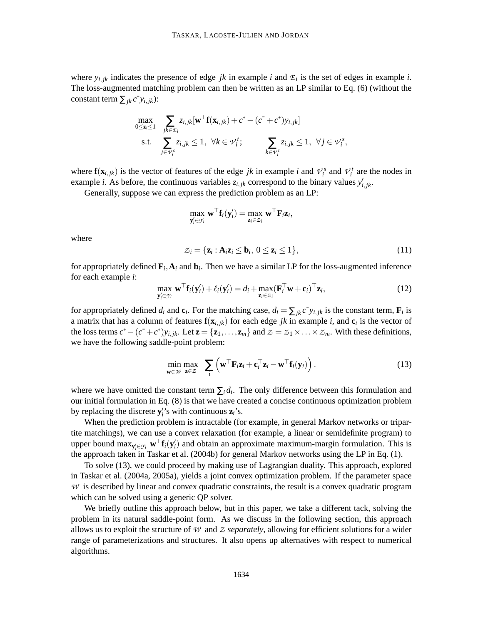where  $y_{i,jk}$  indicates the presence of edge *jk* in example *i* and  $\mathcal{E}_i$  is the set of edges in example *i*. The loss-augmented matching problem can then be written as an LP similar to Eq. (6) (without the constant term  $\sum_{jk} c^{\dagger} y_{i,jk}$ :

$$
\max_{0 \leq \mathbf{z}_i \leq 1} \sum_{\substack{j k \in \mathcal{I}_i \\ j \in \mathcal{V}_j^s}} z_{i,jk} [\mathbf{w}^\top \mathbf{f}(\mathbf{x}_{i,jk}) + c^+ - (c^- + c^+) y_{i,jk}]
$$
\ns.t. 
$$
\sum_{j \in \mathcal{V}_i^s} z_{i,jk} \leq 1, \ \forall k \in \mathcal{V}_i^t; \qquad \sum_{k \in \mathcal{V}_i^t} z_{i,jk} \leq 1, \ \forall j \in \mathcal{V}_i^s,
$$

where  $f(x_{i,jk})$  is the vector of features of the edge *jk* in example *i* and  $\mathcal{V}_i^s$  and  $\mathcal{V}_i^t$  are the nodes in example *i*. As before, the continuous variables  $z_{i,jk}$  correspond to the binary values  $y'_{i,jk}$ .

Generally, suppose we can express the prediction problem as an LP:

$$
\max_{\mathbf{y}'_i \in \mathcal{Y}_i} \mathbf{w}^\top \mathbf{f}_i(\mathbf{y}'_i) = \max_{\mathbf{z}_i \in \mathcal{Z}_i} \mathbf{w}^\top \mathbf{F}_i \mathbf{z}_i,
$$

where

 $Z_i = {\mathbf{z}_i : \mathbf{A}_i \mathbf{z}_i \leq \mathbf{b}_i, 0 \leq \mathbf{z}_i \leq 1},$ (11)

for appropriately defined  $\mathbf{F}_i$ ,  $\mathbf{A}_i$  and  $\mathbf{b}_i$ . Then we have a similar LP for the loss-augmented inference for each example *i*:

$$
\max_{\mathbf{y}'_i \in \mathcal{Y}_i} \mathbf{w}^\top \mathbf{f}_i(\mathbf{y}'_i) + \ell_i(\mathbf{y}'_i) = d_i + \max_{\mathbf{z}_i \in \mathcal{Z}_i} (\mathbf{F}_i^\top \mathbf{w} + \mathbf{c}_i)^\top \mathbf{z}_i, \tag{12}
$$

for appropriately defined  $d_i$  and  $\mathbf{c}_i$ . For the matching case,  $d_i = \sum_{jk} c^j y_{i,jk}$  is the constant term,  $\mathbf{F}_i$  is a matrix that has a column of features  $f(x_{i,jk})$  for each edge *jk* in example *i*, and  $c_i$  is the vector of the loss terms  $c^+ - (c^- + c^+) y_{i,j,k}$ . Let  $\mathbf{z} = {\mathbf{z}_1, \ldots, \mathbf{z}_m}$  and  $z = z_1 \times \ldots \times z_m$ . With these definitions, we have the following saddle-point problem:

$$
\min_{\mathbf{w}\in\mathcal{W}}\max_{\mathbf{z}\in\mathcal{Z}}\sum_{i}\left(\mathbf{w}^{\top}\mathbf{F}_{i}\mathbf{z}_{i}+\mathbf{c}_{i}^{\top}\mathbf{z}_{i}-\mathbf{w}^{\top}\mathbf{f}_{i}(\mathbf{y}_{i})\right).
$$
\n(13)

where we have omitted the constant term  $\sum_i d_i$ . The only difference between this formulation and our initial formulation in Eq. (8) is that we have created a concise continuous optimization problem by replacing the discrete  $y_i$ 's with continuous  $z_i$ 's.

When the prediction problem is intractable (for example, in general Markov networks or tripartite matchings), we can use a convex relaxation (for example, a linear or semidefinite program) to upper bound  $\max_{y'_i \in \mathcal{Y}_i} \mathbf{w}^{\top} \mathbf{f}_i(y'_i)$  and obtain an approximate maximum-margin formulation. This is the approach taken in Taskar et al. (2004b) for general Markov networks using the LP in Eq. (1).

To solve (13), we could proceed by making use of Lagrangian duality. This approach, explored in Taskar et al. (2004a, 2005a), yields a joint convex optimization problem. If the parameter space *W* is described by linear and convex quadratic constraints, the result is a convex quadratic program which can be solved using a generic QP solver.

We briefly outline this approach below, but in this paper, we take a different tack, solving the problem in its natural saddle-point form. As we discuss in the following section, this approach allows us to exploit the structure of *W* and *Z separately*, allowing for efficient solutions for a wider range of parameterizations and structures. It also opens up alternatives with respect to numerical algorithms.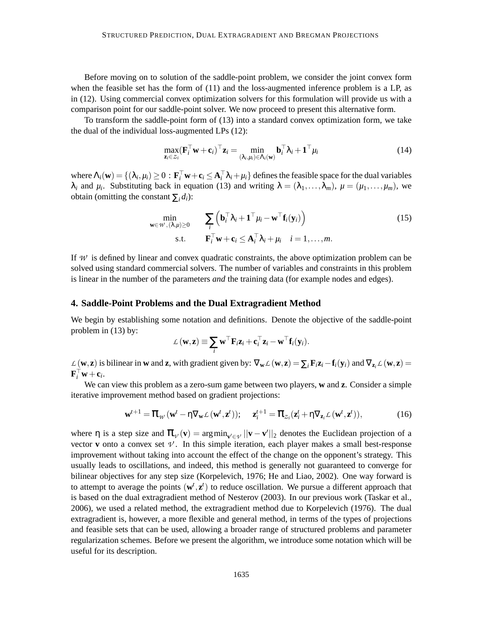Before moving on to solution of the saddle-point problem, we consider the joint convex form when the feasible set has the form of  $(11)$  and the loss-augmented inference problem is a LP, as in (12). Using commercial convex optimization solvers for this formulation will provide us with a comparison point for our saddle-point solver. We now proceed to present this alternative form.

To transform the saddle-point form of (13) into a standard convex optimization form, we take the dual of the individual loss-augmented LPs (12):

$$
\max_{\mathbf{z}_i \in \mathcal{Z}_i} (\mathbf{F}_i^{\top} \mathbf{w} + \mathbf{c}_i)^{\top} \mathbf{z}_i = \min_{(\lambda_i, \mu_i) \in \Lambda_i(\mathbf{w})} \mathbf{b}_i^{\top} \lambda_i + \mathbf{1}^{\top} \mu_i
$$
(14)

where  $\Lambda_i(\mathbf{w}) = \{(\lambda_i, \mu_i) \ge 0 : \mathbf{F}_i^{\top} \mathbf{w} + \mathbf{c}_i \le \mathbf{A}_i^{\top} \lambda_i + \mu_i \}$  defines the feasible space for the dual variables  $\lambda_i$  and  $\mu_i$ . Substituting back in equation (13) and writing  $\lambda = (\lambda_1, \ldots, \lambda_m)$ ,  $\mu = (\mu_1, \ldots, \mu_m)$ , we obtain (omitting the constant  $\sum_i d_i$ ):

$$
\min_{\mathbf{w} \in \mathcal{W}, (\lambda, \mu) \ge 0} \qquad \sum_{i} \left( \mathbf{b}_{i}^{\top} \lambda_{i} + \mathbf{1}^{\top} \mu_{i} - \mathbf{w}^{\top} \mathbf{f}_{i}(\mathbf{y}_{i}) \right) \qquad (15)
$$
\n
$$
\text{s.t.} \qquad \mathbf{F}_{i}^{\top} \mathbf{w} + \mathbf{c}_{i} \le \mathbf{A}_{i}^{\top} \lambda_{i} + \mu_{i} \quad i = 1, \dots, m.
$$

If W is defined by linear and convex quadratic constraints, the above optimization problem can be solved using standard commercial solvers. The number of variables and constraints in this problem is linear in the number of the parameters *and* the training data (for example nodes and edges).

### **4. Saddle-Point Problems and the Dual Extragradient Method**

We begin by establishing some notation and definitions. Denote the objective of the saddle-point problem in (13) by:

$$
\mathcal{L}(\mathbf{w}, \mathbf{z}) \equiv \sum_i \mathbf{w}^\top \mathbf{F}_i \mathbf{z}_i + \mathbf{c}_i^\top \mathbf{z}_i - \mathbf{w}^\top \mathbf{f}_i(\mathbf{y}_i).
$$

 $\mathcal{L}(\mathbf{w}, \mathbf{z})$  is bilinear in **w** and **z**, with gradient given by:  $\nabla_{\mathbf{w}} \mathcal{L}(\mathbf{w}, \mathbf{z}) = \sum_i \mathbf{F}_i \mathbf{z}_i - \mathbf{f}_i(\mathbf{y}_i)$  and  $\nabla_{\mathbf{z}_i} \mathcal{L}(\mathbf{w}, \mathbf{z}) =$  $\mathbf{F}_i^{\top} \mathbf{w} + \mathbf{c}_i.$ 

We can view this problem as a zero-sum game between two players, **w** and **z**. Consider a simple iterative improvement method based on gradient projections:

$$
\mathbf{w}^{t+1} = \mathbf{\mathcal{T}}_{\mathcal{W}}(\mathbf{w}^t - \eta \nabla_{\mathbf{w}} \mathcal{L}(\mathbf{w}^t, \mathbf{z}^t)); \quad \mathbf{z}_i^{t+1} = \mathbf{\mathcal{T}}_{z_i}(\mathbf{z}_i^t + \eta \nabla_{\mathbf{z}_i} \mathcal{L}(\mathbf{w}^t, \mathbf{z}^t)), \tag{16}
$$

where  $\eta$  is a step size and  $\pi_{\nu}(v) = \arg \min_{v' \in \nu} ||v - v'||_2$  denotes the Euclidean projection of a vector **v** onto a convex set  $\nu$ . In this simple iteration, each player makes a small best-response improvement without taking into account the effect of the change on the opponent's strategy. This usually leads to oscillations, and indeed, this method is generally not guaranteed to converge for bilinear objectives for any step size (Korpelevich, 1976; He and Liao, 2002). One way forward is to attempt to average the points  $(\mathbf{w}^t, \mathbf{z}^t)$  to reduce oscillation. We pursue a different approach that is based on the dual extragradient method of Nesterov (2003). In our previous work (Taskar et al., 2006), we used a related method, the extragradient method due to Korpelevich (1976). The dual extragradient is, however, a more flexible and general method, in terms of the types of projections and feasible sets that can be used, allowing a broader range of structured problems and parameter regularization schemes. Before we present the algorithm, we introduce some notation which will be useful for its description.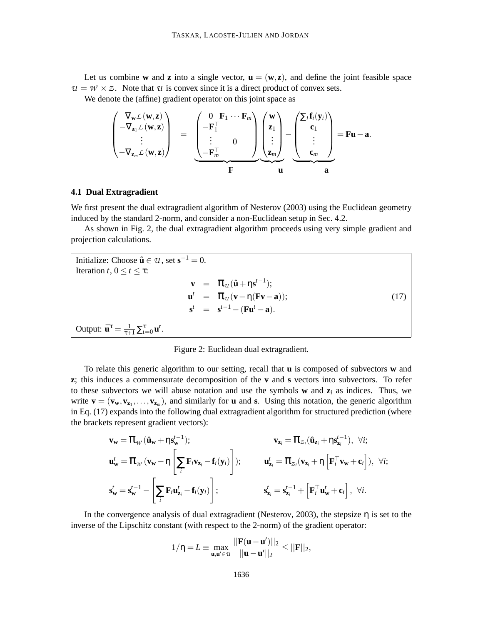Let us combine **w** and **z** into a single vector,  $\mathbf{u} = (\mathbf{w}, \mathbf{z})$ , and define the joint feasible space  $U = W \times Z$ . Note that *U* is convex since it is a direct product of convex sets.

We denote the (affine) gradient operator on this joint space as

$$
\begin{pmatrix}\n\nabla_{\mathbf{w}} \mathcal{L}(\mathbf{w}, \mathbf{z}) \\
-\nabla_{\mathbf{z}_1} \mathcal{L}(\mathbf{w}, \mathbf{z}) \\
\vdots \\
-\nabla_{\mathbf{z}_m} \mathcal{L}(\mathbf{w}, \mathbf{z})\n\end{pmatrix} = \underbrace{\begin{pmatrix}\n0 & \mathbf{F}_1 \cdots \mathbf{F}_m \\
-\mathbf{F}_1^\top \\
\vdots \\
-\mathbf{F}_m^\top\n\end{pmatrix}}_{\mathbf{F}} \underbrace{\begin{pmatrix}\n\mathbf{w} \\
\mathbf{z}_1 \\
\vdots \\
\mathbf{z}_m\n\end{pmatrix}}_{\mathbf{F}} - \underbrace{\begin{pmatrix}\n\sum_i \mathbf{f}_i(\mathbf{y}_i) \\
\mathbf{c}_1 \\
\vdots \\
\mathbf{c}_m\n\end{pmatrix}}_{\mathbf{a}} = \mathbf{F} \mathbf{u} - \mathbf{a}.
$$

## **4.1 Dual Extragradient**

We first present the dual extragradient algorithm of Nesterov (2003) using the Euclidean geometry induced by the standard 2-norm, and consider a non-Euclidean setup in Sec. 4.2.

As shown in Fig. 2, the dual extragradient algorithm proceeds using very simple gradient and projection calculations.

Initialize: Choose  $\hat{\mathbf{u}} \in \mathcal{U}$ , set  $\mathbf{s}^{-1} = 0$ . Iteration *t*,  $0 \le t \le \tau$ :  $\mathbf{v} = \mathbf{\mathcal{T}}_{\mathcal{U}}(\hat{\mathbf{u}} + \eta \mathbf{s}^{t-1});$  $u^t = \pi_u (v - \eta (Fv - a));$  (17)  ${\bf s}^t = {\bf s}^{t-1} - ({\bf F} {\bf u}^t - {\bf a}).$ Output:  $\bar{\mathbf{u}}^{\tau} = \frac{1}{\tau+1} \sum_{t=0}^{\tau} \mathbf{u}^t$ .

Figure 2: Euclidean dual extragradient.

To relate this generic algorithm to our setting, recall that **u** is composed of subvectors **w** and **z**; this induces a commensurate decomposition of the **v** and **s** vectors into subvectors. To refer to these subvectors we will abuse notation and use the symbols **w** and  $z_i$  as indices. Thus, we write  $\mathbf{v} = (\mathbf{v}_{\mathbf{w}}, \mathbf{v}_{\mathbf{z}_1}, \dots, \mathbf{v}_{\mathbf{z}_m})$ , and similarly for **u** and **s**. Using this notation, the generic algorithm in Eq. (17) expands into the following dual extragradient algorithm for structured prediction (where the brackets represent gradient vectors):

$$
\mathbf{v}_{\mathbf{w}} = \boldsymbol{\pi}_{\mathcal{W}} (\hat{\mathbf{u}}_{\mathbf{w}} + \eta \mathbf{s}_{\mathbf{w}}^{t-1}); \qquad \mathbf{v}_{\mathbf{z}_i} = \boldsymbol{\pi}_{z_i} (\hat{\mathbf{u}}_{\mathbf{z}_i} + \eta \mathbf{s}_{\mathbf{z}_i}^{t-1}), \ \forall i;
$$
\n
$$
\mathbf{u}_{\mathbf{w}}^t = \boldsymbol{\pi}_{\mathcal{W}} (\mathbf{v}_{\mathbf{w}} - \eta \left[ \sum_i \mathbf{F}_i \mathbf{v}_{\mathbf{z}_i} - \mathbf{f}_i(\mathbf{y}_i) \right]); \qquad \mathbf{u}_{\mathbf{z}_i}^t = \boldsymbol{\pi}_{z_i} (\mathbf{v}_{\mathbf{z}_i} + \eta \left[ \mathbf{F}_i^\top \mathbf{v}_{\mathbf{w}} + \mathbf{c}_i \right]), \ \forall i;
$$
\n
$$
\mathbf{s}_{\mathbf{w}}^t = \mathbf{s}_{\mathbf{w}}^{t-1} - \left[ \sum_i \mathbf{F}_i \mathbf{u}_{\mathbf{z}_i}^t - \mathbf{f}_i(\mathbf{y}_i) \right]; \qquad \mathbf{s}_{\mathbf{z}_i}^t = \mathbf{s}_{\mathbf{z}_i}^{t-1} + \left[ \mathbf{F}_i^\top \mathbf{u}_{\mathbf{w}}^t + \mathbf{c}_i \right], \ \forall i.
$$

In the convergence analysis of dual extragradient (Nesterov, 2003), the stepsize  $\eta$  is set to the inverse of the Lipschitz constant (with respect to the 2-norm) of the gradient operator:

$$
1/\eta=L\equiv\max_{\boldsymbol{u},\boldsymbol{u}'\in\mathcal{U}}\frac{||\mathbf{F}(\boldsymbol{u}-\boldsymbol{u}')||_2}{||\boldsymbol{u}-\boldsymbol{u}'||_2}\leq||\mathbf{F}||_2,
$$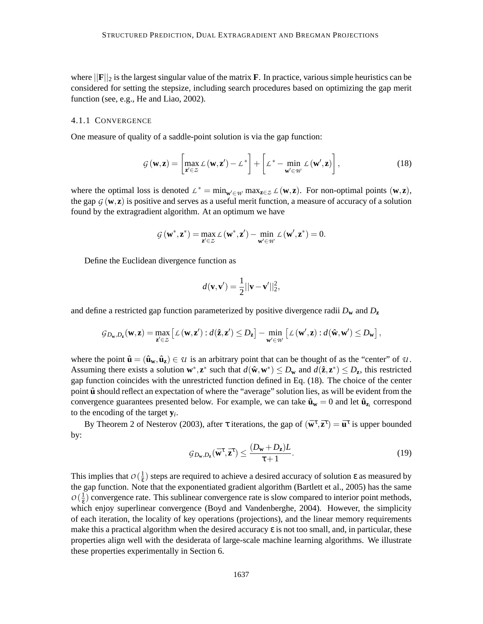where  $\|\mathbf{F}\|_2$  is the largest singular value of the matrix **F**. In practice, various simple heuristics can be considered for setting the stepsize, including search procedures based on optimizing the gap merit function (see, e.g., He and Liao, 2002).

## 4.1.1 CONVERGENCE

One measure of quality of a saddle-point solution is via the gap function:

$$
G(\mathbf{w}, \mathbf{z}) = \left[ \max_{\mathbf{z}' \in \mathcal{Z}} \mathcal{L}(\mathbf{w}, \mathbf{z}') - \mathcal{L}^* \right] + \left[ \mathcal{L}^* - \min_{\mathbf{w}' \in \mathcal{W}} \mathcal{L}(\mathbf{w}', \mathbf{z}) \right],
$$
(18)

where the optimal loss is denoted  $L^* = \min_{w' \in W} \max_{z \in Z} L(w, z)$ . For non-optimal points  $(w, z)$ , the gap  $G$  (**w**, **z**) is positive and serves as a useful merit function, a measure of accuracy of a solution found by the extragradient algorithm. At an optimum we have

$$
\mathcal{G}\left(\mathbf{w}^{*},\mathbf{z}^{*}\right)=\max_{\mathbf{z}'\in\mathcal{Z}}\mathcal{L}\left(\mathbf{w}^{*},\mathbf{z}'\right)-\min_{\mathbf{w}'\in\mathcal{W}}\mathcal{L}\left(\mathbf{w}',\mathbf{z}^{*}\right)=0.
$$

Define the Euclidean divergence function as

$$
d(\mathbf{v}, \mathbf{v}') = \frac{1}{2} ||\mathbf{v} - \mathbf{v}'||_2^2,
$$

and define a restricted gap function parameterized by positive divergence radii  $D_w$  and  $D_z$ 

$$
\mathcal{G}_{D_{\mathbf{w}},D_{\mathbf{z}}}(\mathbf{w},\mathbf{z}) = \max_{\mathbf{z}'\in\mathcal{Z}}\left[\mathcal{L}\left(\mathbf{w},\mathbf{z}'\right):d\left(\mathbf{\hat{z}},\mathbf{z}'\right)\leq D_{\mathbf{z}}\right] - \min_{\mathbf{w}'\in\mathcal{W}}\left[\mathcal{L}\left(\mathbf{w}',\mathbf{z}\right):d\left(\mathbf{\hat{w}},\mathbf{w}'\right)\leq D_{\mathbf{w}}\right],
$$

where the point  $\hat{\mathbf{u}} = (\hat{\mathbf{u}}_{\mathbf{w}}, \hat{\mathbf{u}}_{\mathbf{z}}) \in \mathcal{U}$  is an arbitrary point that can be thought of as the "center" of  $\mathcal{U}$ . Assuming there exists a solution  $\mathbf{w}^*$ ,  $\mathbf{z}^*$  such that  $d(\hat{\mathbf{w}}, \mathbf{w}^*) \le D_{\mathbf{w}}$  and  $d(\hat{\mathbf{z}}, \mathbf{z}^*) \le D_{\mathbf{z}}$ , this restricted gap function coincides with the unrestricted function defined in Eq. (18). The choice of the center point  $\hat{\mathbf{u}}$  should reflect an expectation of where the "average" solution lies, as will be evident from the convergence guarantees presented below. For example, we can take  $\hat{\mathbf{u}}_{\mathbf{w}} = 0$  and let  $\hat{\mathbf{u}}_{\mathbf{z}_i}$  correspond to the encoding of the target **y***<sup>i</sup>* .

By Theorem 2 of Nesterov (2003), after  $\tau$  iterations, the gap of  $(\bar{w}^{\tau}, \bar{z}^{\tau}) = \bar{u}^{\tau}$  is upper bounded by:

$$
G_{D_{\mathbf{w}},D_{\mathbf{z}}}(\bar{\mathbf{w}}^{\tau},\bar{\mathbf{z}}^{\tau}) \leq \frac{(D_{\mathbf{w}} + D_{\mathbf{z}})L}{\tau + 1}.
$$
\n(19)

This implies that  $O\left(\frac{1}{\epsilon}\right)$  $\frac{1}{ε}$ ) steps are required to achieve a desired accuracy of solution ε as measured by the gap function. Note that the exponentiated gradient algorithm (Bartlett et al., 2005) has the same  $O\left(\frac{1}{\epsilon}\right)$  $\frac{1}{\epsilon}$ ) convergence rate. This sublinear convergence rate is slow compared to interior point methods, which enjoy superlinear convergence (Boyd and Vandenberghe, 2004). However, the simplicity of each iteration, the locality of key operations (projections), and the linear memory requirements make this a practical algorithm when the desired accuracy  $\epsilon$  is not too small, and, in particular, these properties align well with the desiderata of large-scale machine learning algorithms. We illustrate these properties experimentally in Section 6.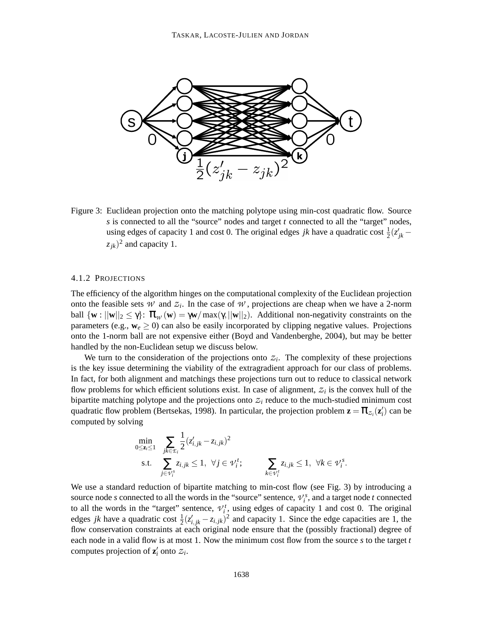

Figure 3: Euclidean projection onto the matching polytope using min-cost quadratic flow. Source *s* is connected to all the "source" nodes and target *t* connected to all the "target" nodes, using edges of capacity 1 and cost 0. The original edges *jk* have a quadratic cost  $\frac{1}{2}(z'_{jk} - z'_{jk})$  $(z_{jk})^2$  and capacity 1.

#### 4.1.2 PROJECTIONS

The efficiency of the algorithm hinges on the computational complexity of the Euclidean projection onto the feasible sets  $W$  and  $Z_i$ . In the case of  $W$ , projections are cheap when we have a 2-norm ball  $\{w : ||w||_2 \le \gamma\}$ :  $\pi_w(w) = \gamma w / \max(\gamma, ||w||_2)$ . Additional non-negativity constraints on the parameters (e.g.,  $w_e \ge 0$ ) can also be easily incorporated by clipping negative values. Projections onto the 1-norm ball are not expensive either (Boyd and Vandenberghe, 2004), but may be better handled by the non-Euclidean setup we discuss below.

We turn to the consideration of the projections onto  $z_i$ . The complexity of these projections is the key issue determining the viability of the extragradient approach for our class of problems. In fact, for both alignment and matchings these projections turn out to reduce to classical network flow problems for which efficient solutions exist. In case of alignment,  $z_i$  is the convex hull of the bipartite matching polytope and the projections onto  $z_i$  reduce to the much-studied minimum cost quadratic flow problem (Bertsekas, 1998). In particular, the projection problem  $\mathbf{z} = \pi_{z_i}(\mathbf{z}_i)$  can be computed by solving

$$
\min_{0 \le z_i \le 1} \sum_{j \in \mathcal{E}_i} \frac{1}{2} (z'_{i,jk} - z_{i,jk})^2
$$
\n
$$
\text{s.t.} \sum_{j \in \mathcal{V}_i^s} z_{i,jk} \le 1, \ \forall j \in \mathcal{V}_i^t; \qquad \sum_{k \in \mathcal{V}_i^t} z_{i,jk} \le 1, \ \forall k \in \mathcal{V}_i^s.
$$

We use a standard reduction of bipartite matching to min-cost flow (see Fig. 3) by introducing a source node *s* connected to all the words in the "source" sentence,  $V_i^s$ , and a target node *t* connected to all the words in the "target" sentence,  $v_i^t$ , using edges of capacity 1 and cost 0. The original edges *jk* have a quadratic cost  $\frac{1}{2}(z'_{i,jk} - z_{i,jk})^2$  and capacity 1. Since the edge capacities are 1, the flow conservation constraints at each original node ensure that the (possibly fractional) degree of each node in a valid flow is at most 1. Now the minimum cost flow from the source *s* to the target *t* computes projection of  $\mathbf{z}'_i$  onto  $z_i$ .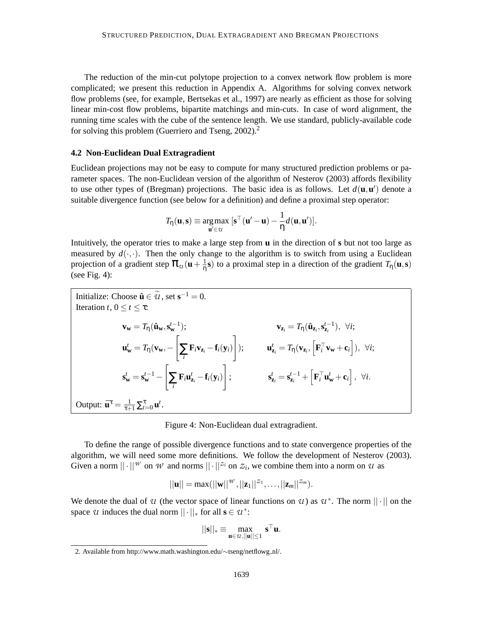The reduction of the min-cut polytope projection to a convex network flow problem is more complicated; we present this reduction in Appendix A. Algorithms for solving convex network flow problems (see, for example, Bertsekas et al., 1997) are nearly as efficient as those for solving linear min-cost flow problems, bipartite matchings and min-cuts. In case of word alignment, the running time scales with the cube of the sentence length. We use standard, publicly-available code for solving this problem (Guerriero and Tseng, 2002).<sup>2</sup>

## **4.2 Non-Euclidean Dual Extragradient**

Euclidean projections may not be easy to compute for many structured prediction problems or parameter spaces. The non-Euclidean version of the algorithm of Nesterov (2003) affords flexibility to use other types of (Bregman) projections. The basic idea is as follows. Let  $d(\mathbf{u}, \mathbf{u}')$  denote a suitable divergence function (see below for a definition) and define a proximal step operator:

$$
T_{\eta}(\mathbf{u}, \mathbf{s}) \equiv \underset{\mathbf{u}' \in \mathcal{U}}{\arg \max} [\mathbf{s}^{\top}(\mathbf{u}' - \mathbf{u}) - \frac{1}{\eta}d(\mathbf{u}, \mathbf{u}')].
$$

Intuitively, the operator tries to make a large step from **u** in the direction of **s** but not too large as measured by  $d(\cdot, \cdot)$ . Then the only change to the algorithm is to switch from using a Euclidean projection of a gradient step  $\pi_u(u + \frac{1}{n})$  $\frac{1}{n}$ **s**) to a proximal step in a direction of the gradient  $T_n(\mathbf{u}, \mathbf{s})$ (see Fig. 4):

Initialize: Choose 
$$
\hat{\mathbf{u}} \in \tilde{\mathcal{U}}
$$
, set  $\mathbf{s}^{-1} = 0$ .

\nIteration  $t, 0 \le t \le \tau$ :

\n
$$
\mathbf{v}_{\mathbf{w}} = T_{\eta}(\hat{\mathbf{u}}_{\mathbf{w}}, \mathbf{s}_{\mathbf{w}}^{t-1}); \qquad \mathbf{v}_{\mathbf{z}_i} = T_{\eta}(\hat{\mathbf{u}}_{\mathbf{z}_i}, \mathbf{s}_{\mathbf{z}_i}^{t-1}), \forall i;
$$
\n
$$
\mathbf{u}_{\mathbf{w}}^t = T_{\eta}(\mathbf{v}_{\mathbf{w}}, -\left[\sum_i \mathbf{F}_i \mathbf{v}_{\mathbf{z}_i} - \mathbf{f}_i(\mathbf{y}_i)\right]; \qquad \mathbf{u}_{\mathbf{z}_i}^t = T_{\eta}(\mathbf{v}_{\mathbf{z}_i}, \left[\mathbf{F}_i^\top \mathbf{v}_{\mathbf{w}} + \mathbf{c}_i\right]), \forall i;
$$
\n
$$
\mathbf{s}_{\mathbf{w}}^t = \mathbf{s}_{\mathbf{w}}^{t-1} - \left[\sum_i \mathbf{F}_i \mathbf{u}_{\mathbf{z}_i}^t - \mathbf{f}_i(\mathbf{y}_i)\right]; \qquad \mathbf{s}_{\mathbf{z}_i}^t = \mathbf{s}_{\mathbf{z}_i}^{t-1} + \left[\mathbf{F}_i^\top \mathbf{u}_{\mathbf{w}}^t + \mathbf{c}_i\right], \forall i.
$$
\nOutput:

\n $\bar{\mathbf{u}}^{\tau} = \frac{1}{\tau + 1} \sum_{i=0}^{\tau} \mathbf{u}^t.$ 

Figure 4: Non-Euclidean dual extragradient.

To define the range of possible divergence functions and to state convergence properties of the algorithm, we will need some more definitions. We follow the development of Nesterov (2003). Given a norm  $||\cdot||^{w}$  on *W* and norms  $||\cdot||^{z_i}$  on  $z_i$ , we combine them into a norm on *U* as

$$
||\mathbf{u}|| = \max(||\mathbf{w}||^{\mathcal{W}}, ||\mathbf{z}_1||^{z_1}, \ldots, ||\mathbf{z}_m||^{z_m}).
$$

We denote the dual of *U* (the vector space of linear functions on *U*) as  $U^*$ . The norm  $||\cdot||$  on the space *U* induces the dual norm  $|| \cdot ||_*$  for all  $\mathbf{s} \in \mathcal{U}^*$ :

$$
||\mathbf{s}||_* \equiv \max_{\mathbf{u} \in \mathcal{U}, ||\mathbf{u}|| \leq 1} \mathbf{s}^\top \mathbf{u}.
$$

<sup>2.</sup> Available from http://www.math.washington.edu/∼tseng/netflowg nl/.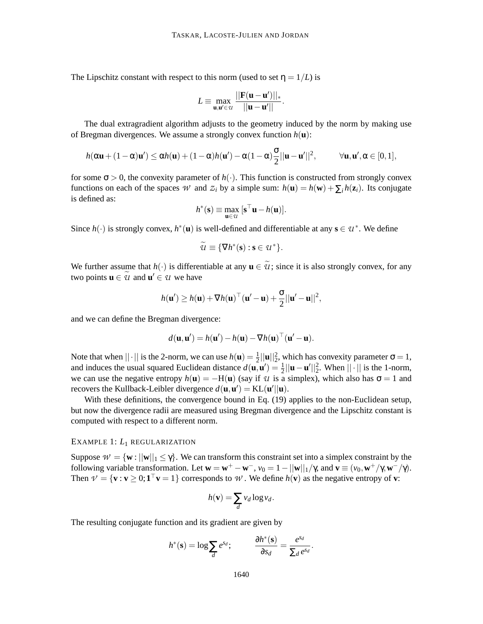The Lipschitz constant with respect to this norm (used to set  $\eta = 1/L$ ) is

$$
L \equiv \max_{\mathbf{u}, \mathbf{u}' \in \mathcal{U}} \frac{||\mathbf{F}(\mathbf{u} - \mathbf{u}')||_*}{||\mathbf{u} - \mathbf{u}'||}.
$$

The dual extragradient algorithm adjusts to the geometry induced by the norm by making use of Bregman divergences. We assume a strongly convex function  $h(\mathbf{u})$ :

$$
\textstyle \,h(\alpha\mathbf{u}+(1-\alpha)\mathbf{u}')\leq \alpha h(\mathbf{u})+(1-\alpha)h(\mathbf{u}')-\alpha(1-\alpha)\frac{\sigma}{2}||\mathbf{u}-\mathbf{u}'||^2,\qquad \quad \forall \mathbf{u},\mathbf{u}',\alpha\in[0,1],
$$

for some  $\sigma > 0$ , the convexity parameter of  $h(\cdot)$ . This function is constructed from strongly convex functions on each of the spaces *W* and  $Z_i$  by a simple sum:  $h(\mathbf{u}) = h(\mathbf{w}) + \sum_i h(\mathbf{z}_i)$ . Its conjugate is defined as:

$$
h^*(\mathbf{s}) \equiv \max_{\mathbf{u}\in u} \; [\mathbf{s}^\top \mathbf{u} - h(\mathbf{u})].
$$

Since  $h(\cdot)$  is strongly convex,  $h^*(\mathbf{u})$  is well-defined and differentiable at any  $\mathbf{s} \in \mathcal{U}^*$ . We define

$$
\widetilde{u} \equiv \{ \nabla h^*(\mathbf{s}) : \mathbf{s} \in u^* \}.
$$

We further assume that  $h(\cdot)$  is differentiable at any  $\mathbf{u} \in \mathcal{U}$ ; since it is also strongly convex, for any two points  $\mathbf{u} \in \mathcal{U}$  and  $\mathbf{u}' \in \mathcal{U}$  we have

$$
h(\mathbf{u}') \geq h(\mathbf{u}) + \nabla h(\mathbf{u})^\top (\mathbf{u}' - \mathbf{u}) + \frac{\sigma}{2} ||\mathbf{u}' - \mathbf{u}||^2,
$$

and we can define the Bregman divergence:

$$
d(\mathbf{u}, \mathbf{u}') = h(\mathbf{u}') - h(\mathbf{u}) - \nabla h(\mathbf{u})^\top (\mathbf{u}' - \mathbf{u}).
$$

Note that when  $||\cdot||$  is the 2-norm, we can use  $h(\mathbf{u}) = \frac{1}{2}||\mathbf{u}||_2^2$ , which has convexity parameter  $\sigma = 1$ , and induces the usual squared Euclidean distance  $d(\mathbf{u}, \mathbf{u}') = \frac{1}{2} ||\mathbf{u} - \mathbf{u}'||_2^2$ . When  $|| \cdot ||$  is the 1-norm, we can use the negative entropy  $h(\mathbf{u}) = -\mathbf{H}(\mathbf{u})$  (say if *U* is a simplex), which also has  $\sigma = 1$  and recovers the Kullback-Leibler divergence  $d(\mathbf{u}, \mathbf{u}') = \text{KL}(\mathbf{u}'||\mathbf{u})$ .

With these definitions, the convergence bound in Eq. (19) applies to the non-Euclidean setup, but now the divergence radii are measured using Bregman divergence and the Lipschitz constant is computed with respect to a different norm.

## EXAMPLE 1: *L*<sup>1</sup> REGULARIZATION

Suppose  $W = \{w : ||w||_1 \leq \gamma\}$ . We can transform this constraint set into a simplex constraint by the following variable transformation. Let  $\mathbf{w} = \mathbf{w}^+ - \mathbf{w}^-$ ,  $v_0 = 1 - ||\mathbf{w}||_1 / \gamma$ , and  $\mathbf{v} \equiv (v_0, \mathbf{w}^+ / \gamma, \mathbf{w}^- / \gamma)$ . Then  $\nu = {\mathbf{v} : \mathbf{v} \geq 0; \mathbf{1}^\top \mathbf{v} = 1}$  corresponds to  $\mathcal{W}$ . We define  $h(\mathbf{v})$  as the negative entropy of  $\mathbf{v}$ :

$$
h(\mathbf{v}) = \sum_{d} v_d \log v_d.
$$

The resulting conjugate function and its gradient are given by

$$
h^*(\mathbf{s}) = \log \sum_d e^{s_d};
$$
  $\frac{\partial h^*(\mathbf{s})}{\partial s_d} = \frac{e^{s_d}}{\sum_d e^{s_d}}.$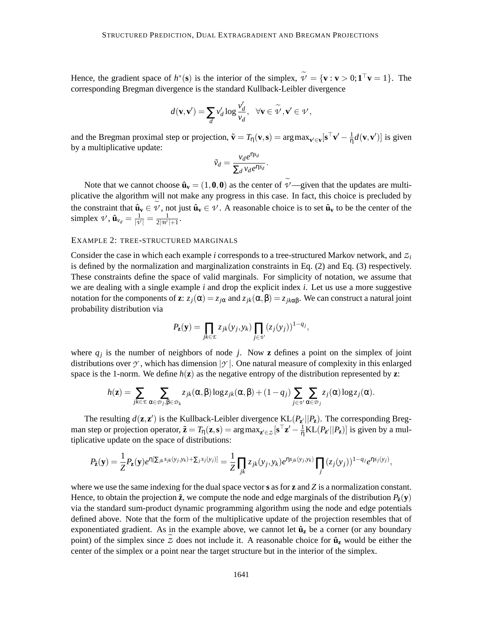Hence, the gradient space of  $h^*(s)$  is the interior of the simplex,  $\nu' = {\mathbf{v} : \mathbf{v} > 0; \mathbf{1}^\top \mathbf{v} = 1}.$  The corresponding Bregman divergence is the standard Kullback-Leibler divergence

$$
d(\mathbf{v},\mathbf{v}') = \sum_d v'_d \log \frac{v'_d}{v_d}, \ \ \forall \mathbf{v} \in \widetilde{\mathcal{V}}, \mathbf{v}' \in \mathcal{V},
$$

and the Bregman proximal step or projection,  $\tilde{\mathbf{v}} = T_{\eta}(\mathbf{v}, \mathbf{s}) = \arg \max_{\mathbf{v}' \in \mathbf{v}} [\mathbf{s}^\top \mathbf{v}' - \frac{1}{\eta}]$  $\frac{1}{\eta}d(\mathbf{v}, \mathbf{v}')$ ] is given by a multiplicative update:

$$
\tilde{v}_d = \frac{v_d e^{\eta s_d}}{\sum_d v_d e^{\eta s_d}}.
$$

Note that we cannot choose  $\hat{\mathbf{u}}_{\mathbf{v}} = (1, \mathbf{0}, \mathbf{0})$  as the center of  $\hat{\mathbf{v}}$  —given that the updates are multiplicative the algorithm will not make any progress in this case. In fact, this choice is precluded by the constraint that  $\hat{\mathbf{u}}_{\mathbf{v}} \in \mathcal{V}$ , not just  $\hat{\mathbf{u}}_{\mathbf{v}} \in \mathcal{V}$ . A reasonable choice is to set  $\hat{\mathbf{u}}_{\mathbf{v}}$  to be the center of the simplex  $\nu$ ,  $\hat{\mathbf{u}}_{v_d} = \frac{1}{|\nu|}$  $\frac{1}{|\nu|} = \frac{1}{2|\nu|}$  $\frac{1}{2|W|+1}$ .

## EXAMPLE 2: TREE-STRUCTURED MARGINALS

Consider the case in which each example *i* corresponds to a tree-structured Markov network, and *Z<sup>i</sup>* is defined by the normalization and marginalization constraints in Eq. (2) and Eq. (3) respectively. These constraints define the space of valid marginals. For simplicity of notation, we assume that we are dealing with a single example *i* and drop the explicit index *i*. Let us use a more suggestive notation for the components of **z**:  $z_j(\alpha) = z_{j\alpha}$  and  $z_{jk}(\alpha, \beta) = z_{jk\alpha\beta}$ . We can construct a natural joint probability distribution via

$$
P_{\mathbf{z}}(\mathbf{y}) = \prod_{j k \in \mathcal{I}} z_{jk}(y_j, y_k) \prod_{j \in \mathcal{V}} (z_j(y_j))^{1 - q_j},
$$

where  $q_j$  is the number of neighbors of node *j*. Now **z** defines a point on the simplex of joint distributions over  $\gamma$ , which has dimension  $|\gamma|$ . One natural measure of complexity in this enlarged space is the 1-norm. We define *h*(**z**) as the negative entropy of the distribution represented by **z**:

$$
h(\mathbf{z}) = \sum_{jk \in \mathcal{I}} \sum_{\alpha \in \mathcal{D}_j, \beta \in \mathcal{D}_k} z_{jk}(\alpha, \beta) \log z_{jk}(\alpha, \beta) + (1 - q_j) \sum_{j \in \mathcal{V}} \sum_{\alpha \in \mathcal{D}_j} z_j(\alpha) \log z_j(\alpha).
$$

The resulting  $d(\mathbf{z}, \mathbf{z}')$  is the Kullback-Leibler divergence  $KL(P_{\mathbf{z}'}||P_{\mathbf{z}})$ . The corresponding Bregman step or projection operator,  $\tilde{\mathbf{z}} = T_{\eta}(\mathbf{z}, \mathbf{s}) = \arg \max_{\mathbf{z}' \in \mathcal{Z}} [\mathbf{s}^\top \mathbf{z}' - \frac{1}{\eta} \text{KL}(P_{\mathbf{z}'} || P_{\mathbf{z}})]$  is given by a multiplicative update on the space of distributions:

$$
P_{\tilde{\mathbf{z}}}(\mathbf{y}) = \frac{1}{Z} P_{\mathbf{z}}(\mathbf{y}) e^{\eta [\Sigma_{jk} s_{jk}(y_j, y_k) + \Sigma_j s_j(y_j)]} = \frac{1}{Z} \prod_{jk} z_{jk}(y_j, y_k) e^{\eta s_{jk}(y_j, y_k)} \prod_j (z_j(y_j))^{1 - q_j} e^{\eta s_j(y_j)},
$$

where we use the same indexing for the dual space vector **s** as for **z** and *Z* is a normalization constant. Hence, to obtain the projection  $\tilde{z}$ , we compute the node and edge marginals of the distribution  $P_{\tilde{z}}(y)$ via the standard sum-product dynamic programming algorithm using the node and edge potentials defined above. Note that the form of the multiplicative update of the projection resembles that of exponentiated gradient. As in the example above, we cannot let  $\hat{u}_z$  be a corner (or any boundary point) of the simplex since  $Z$  does not include it. A reasonable choice for  $\hat{u}_z$  would be either the center of the simplex or a point near the target structure but in the interior of the simplex.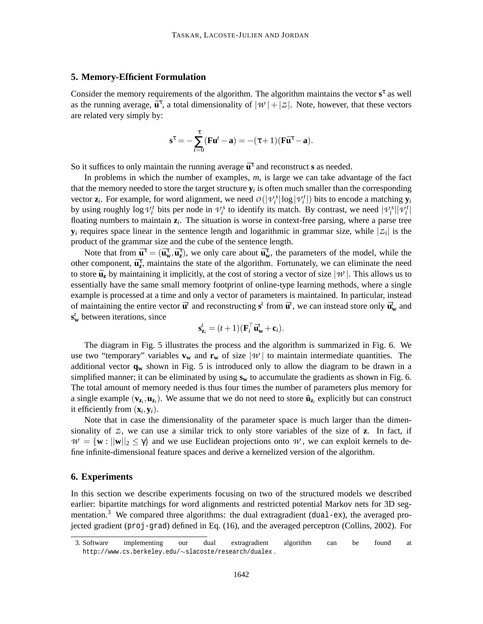## **5. Memory-Efficient Formulation**

Consider the memory requirements of the algorithm. The algorithm maintains the vector s<sup>τ</sup> as well as the running average,  $\bar{\mathbf{u}}^{\tau}$ , a total dimensionality of  $|\mathcal{W}| + |\mathcal{Z}|$ . Note, however, that these vectors are related very simply by:

$$
\mathbf{s}^\tau = -\sum_{t=0}^\tau (\mathbf{F}\mathbf{u}^t - \mathbf{a}) = -(\tau+1)(\mathbf{F}\bar{\mathbf{u}}^\tau - \mathbf{a}).
$$

So it suffices to only maintain the running average  $\bar{\mathbf{u}}^{\tau}$  and reconstruct **s** as needed.

In problems in which the number of examples, *m*, is large we can take advantage of the fact that the memory needed to store the target structure  $y_i$  is often much smaller than the corresponding vector  $\mathbf{z}_i$ . For example, for word alignment, we need  $O(|\mathcal{V}_i^s| \log |\mathcal{V}_i^t|)$  bits to encode a matching  $\mathbf{y}_i$ by using roughly log  $V_i^t$  bits per node in  $V_i^s$  to identify its match. By contrast, we need  $|V_i^s||V_i^t|$ floating numbers to maintain  $z_i$ . The situation is worse in context-free parsing, where a parse tree  $\mathbf{y}_i$  requires space linear in the sentence length and logarithmic in grammar size, while  $|z_i|$  is the product of the grammar size and the cube of the sentence length.

Note that from  $\bar{\mathbf{u}}^{\tau} = (\bar{\mathbf{u}}_w^{\tau}, \bar{\mathbf{u}}_z^{\tau})$ , we only care about  $\bar{\mathbf{u}}_w^{\tau}$ , the parameters of the model, while the other component,  $\bar{\mathbf{u}}_z^{\tau}$ , maintains the state of the algorithm. Fortunately, we can eliminate the need to store  $\bar{u}_z$  by maintaining it implicitly, at the cost of storing a vector of size  $|\hat{w}|$ . This allows us to essentially have the same small memory footprint of online-type learning methods, where a single example is processed at a time and only a vector of parameters is maintained. In particular, instead of maintaining the entire vector  $\bar{\mathbf{u}}^t$  and reconstructing  $\mathbf{s}^t$  from  $\bar{\mathbf{u}}^t$ , we can instead store only  $\bar{\mathbf{u}}^t_w$  and **s** *t* **<sup>w</sup>** between iterations, since

$$
\mathbf{s}_{\mathbf{z}_i}^t = (t+1)(\mathbf{F}_i^{\top} \bar{\mathbf{u}}_{\mathbf{w}}^t + \mathbf{c}_i).
$$

The diagram in Fig. 5 illustrates the process and the algorithm is summarized in Fig. 6. We use two "temporary" variables  $\bf{v}_w$  and  $\bf{r}_w$  of size  $|W|$  to maintain intermediate quantities. The additional vector **q<sup>w</sup>** shown in Fig. 5 is introduced only to allow the diagram to be drawn in a simplified manner; it can be eliminated by using **s<sup>w</sup>** to accumulate the gradients as shown in Fig. 6. The total amount of memory needed is thus four times the number of parameters plus memory for a single example  $(\mathbf{v}_{\mathbf{z}_i}, \mathbf{u}_{\mathbf{z}_i})$ . We assume that we do not need to store  $\hat{\mathbf{u}}_{\mathbf{z}_i}$  explicitly but can construct it efficiently from  $(\mathbf{x}_i, \mathbf{y}_i)$ .

Note that in case the dimensionality of the parameter space is much larger than the dimensionality of *Z* , we can use a similar trick to only store variables of the size of **z**. In fact, if  $W = \{w : ||w||_2 \leq \gamma\}$  and we use Euclidean projections onto *W*, we can exploit kernels to define infinite-dimensional feature spaces and derive a kernelized version of the algorithm.

## **6. Experiments**

In this section we describe experiments focusing on two of the structured models we described earlier: bipartite matchings for word alignments and restricted potential Markov nets for 3D segmentation.<sup>3</sup> We compared three algorithms: the dual extragradient (dual-ex), the averaged projected gradient (proj-grad) defined in Eq. (16), and the averaged perceptron (Collins, 2002). For

<sup>3.</sup> Software implementing our dual extragradient algorithm can be found at http://www.cs.berkeley.edu/∼slacoste/research/dualex .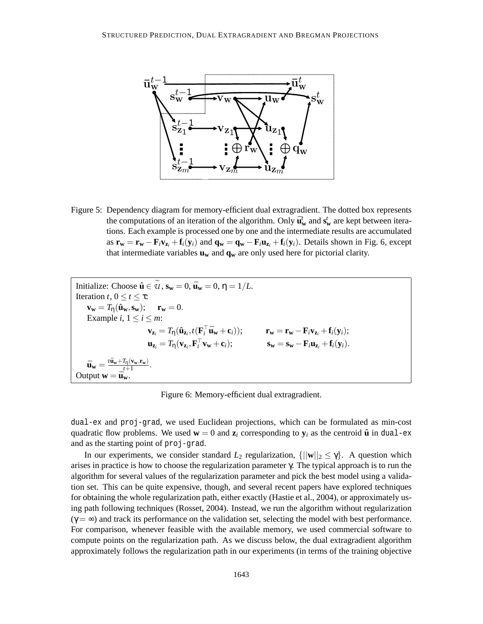

Figure 5: Dependency diagram for memory-efficient dual extragradient. The dotted box represents the computations of an iteration of the algorithm. Only  $\bar{\mathbf{u}}_{w}^{t}$  and  $\mathbf{s}_{w}^{t}$  are kept between iterations. Each example is processed one by one and the intermediate results are accumulated as  $\mathbf{r_w} = \mathbf{r_w} - \mathbf{F}_i \mathbf{v_{z_i}} + \mathbf{f}_i(\mathbf{y_i})$  and  $\mathbf{q_w} = \mathbf{q_w} - \mathbf{F}_i \mathbf{u_{z_i}} + \mathbf{f}_i(\mathbf{y_i})$ . Details shown in Fig. 6, except that intermediate variables **u<sup>w</sup>** and **q<sup>w</sup>** are only used here for pictorial clarity.

Initialize: Choose 
$$
\hat{\mathbf{u}} \in \tilde{\mathcal{U}}
$$
,  $\mathbf{s_w} = 0$ ,  $\bar{\mathbf{u}}_w = 0$ ,  $\eta = 1/L$ .

\nIteration  $t, 0 \le t \le \tau$ :

\n
$$
\mathbf{v_w} = T_\eta(\hat{\mathbf{u}}_w, \mathbf{s_w}); \quad \mathbf{r_w} = 0.
$$
\nExample  $i, 1 \le i \le m$ :

\n
$$
\mathbf{v_{z_i}} = T_\eta(\hat{\mathbf{u}}_{z_i}, t(\mathbf{F}_i^\top \bar{\mathbf{u}}_w + \mathbf{c}_i)); \quad \mathbf{r_w} = \mathbf{r_w} - \mathbf{F}_i \mathbf{v_{z_i}} + \mathbf{f}_i(\mathbf{y}_i);
$$
\n
$$
\mathbf{u_{z_i}} = T_\eta(\mathbf{v_{z_i}}, \mathbf{F}_i^\top \mathbf{v}_w + \mathbf{c}_i); \quad \mathbf{s_w} = \mathbf{s_w} - \mathbf{F}_i \mathbf{u_{z_i}} + \mathbf{f}_i(\mathbf{y}_i).
$$
\n
$$
\bar{\mathbf{u}}_w = \frac{t\bar{\mathbf{u}}_w + T_\eta(\mathbf{v}_w, \mathbf{r}_w)}{t+1}.
$$
\nOutput  $\mathbf{w} = \bar{\mathbf{u}}_w$ .

Figure 6: Memory-efficient dual extragradient.

dual-ex and proj-grad, we used Euclidean projections, which can be formulated as min-cost quadratic flow problems. We used  $\mathbf{w} = 0$  and  $\mathbf{z}_i$  corresponding to  $\mathbf{y}_i$  as the centroid  $\hat{\mathbf{u}}$  in dual-ex and as the starting point of proj-grad.

In our experiments, we consider standard  $L_2$  regularization,  $\{||\mathbf{w}||_2 \leq \gamma\}$ . A question which arises in practice is how to choose the regularization parameter γ. The typical approach is to run the algorithm for several values of the regularization parameter and pick the best model using a validation set. This can be quite expensive, though, and several recent papers have explored techniques for obtaining the whole regularization path, either exactly (Hastie et al., 2004), or approximately using path following techniques (Rosset, 2004). Instead, we run the algorithm without regularization  $(\gamma = \infty)$  and track its performance on the validation set, selecting the model with best performance. For comparison, whenever feasible with the available memory, we used commercial software to compute points on the regularization path. As we discuss below, the dual extragradient algorithm approximately follows the regularization path in our experiments (in terms of the training objective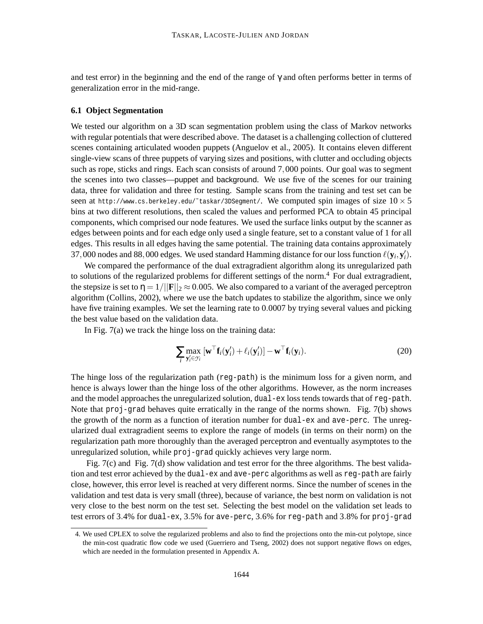and test error) in the beginning and the end of the range of  $\gamma$  and often performs better in terms of generalization error in the mid-range.

## **6.1 Object Segmentation**

We tested our algorithm on a 3D scan segmentation problem using the class of Markov networks with regular potentials that were described above. The dataset is a challenging collection of cluttered scenes containing articulated wooden puppets (Anguelov et al., 2005). It contains eleven different single-view scans of three puppets of varying sizes and positions, with clutter and occluding objects such as rope, sticks and rings. Each scan consists of around 7,000 points. Our goal was to segment the scenes into two classes—puppet and background. We use five of the scenes for our training data, three for validation and three for testing. Sample scans from the training and test set can be seen at http://www.cs.berkeley.edu/~taskar/3DSegment/. We computed spin images of size  $10 \times 5$ bins at two different resolutions, then scaled the values and performed PCA to obtain 45 principal components, which comprised our node features. We used the surface links output by the scanner as edges between points and for each edge only used a single feature, set to a constant value of 1 for all edges. This results in all edges having the same potential. The training data contains approximately 37,000 nodes and 88,000 edges. We used standard Hamming distance for our loss function  $\ell(\mathbf{y}_i, \mathbf{y}_i')$ .

We compared the performance of the dual extragradient algorithm along its unregularized path to solutions of the regularized problems for different settings of the norm.<sup>4</sup> For dual extragradient, the stepsize is set to  $\eta = 1/||\mathbf{F}||_2 \approx 0.005$ . We also compared to a variant of the averaged perceptron algorithm (Collins, 2002), where we use the batch updates to stabilize the algorithm, since we only have five training examples. We set the learning rate to 0.0007 by trying several values and picking the best value based on the validation data.

In Fig. 7(a) we track the hinge loss on the training data:

$$
\sum_{i} \max_{\mathbf{y}'_i \in \mathcal{Y}_i} \left[ \mathbf{w}^\top \mathbf{f}_i(\mathbf{y}'_i) + \ell_i(\mathbf{y}'_i) \right] - \mathbf{w}^\top \mathbf{f}_i(\mathbf{y}_i). \tag{20}
$$

The hinge loss of the regularization path (reg-path) is the minimum loss for a given norm, and hence is always lower than the hinge loss of the other algorithms. However, as the norm increases and the model approaches the unregularized solution, dual-ex loss tends towards that of reg-path. Note that proj-grad behaves quite erratically in the range of the norms shown. Fig. 7(b) shows the growth of the norm as a function of iteration number for dual-ex and ave-perc. The unregularized dual extragradient seems to explore the range of models (in terms on their norm) on the regularization path more thoroughly than the averaged perceptron and eventually asymptotes to the unregularized solution, while proj-grad quickly achieves very large norm.

Fig. 7(c) and Fig. 7(d) show validation and test error for the three algorithms. The best validation and test error achieved by the dual-ex and ave-perc algorithms as well as reg-path are fairly close, however, this error level is reached at very different norms. Since the number of scenes in the validation and test data is very small (three), because of variance, the best norm on validation is not very close to the best norm on the test set. Selecting the best model on the validation set leads to test errors of 3.4% for dual-ex, 3.5% for ave-perc, 3.6% for reg-path and 3.8% for proj-grad

<sup>4.</sup> We used CPLEX to solve the regularized problems and also to find the projections onto the min-cut polytope, since the min-cost quadratic flow code we used (Guerriero and Tseng, 2002) does not support negative flows on edges, which are needed in the formulation presented in Appendix A.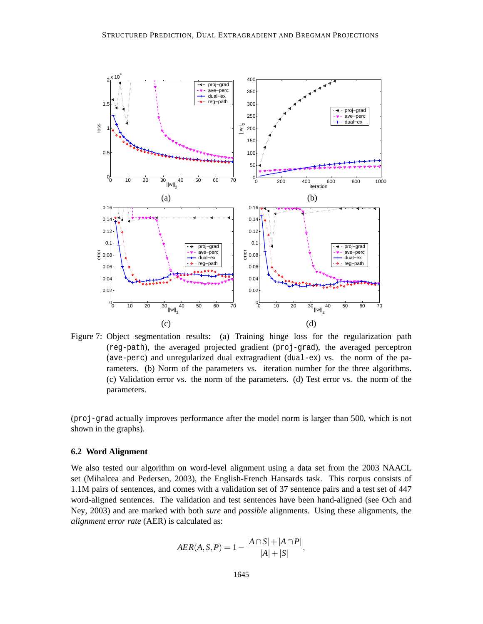

Figure 7: Object segmentation results: (a) Training hinge loss for the regularization path (reg-path), the averaged projected gradient (proj-grad), the averaged perceptron (ave-perc) and unregularized dual extragradient (dual-ex) vs. the norm of the parameters. (b) Norm of the parameters vs. iteration number for the three algorithms. (c) Validation error vs. the norm of the parameters. (d) Test error vs. the norm of the parameters.

(proj-grad actually improves performance after the model norm is larger than 500, which is not shown in the graphs).

## **6.2 Word Alignment**

We also tested our algorithm on word-level alignment using a data set from the 2003 NAACL set (Mihalcea and Pedersen, 2003), the English-French Hansards task. This corpus consists of 1.1M pairs of sentences, and comes with a validation set of 37 sentence pairs and a test set of 447 word-aligned sentences. The validation and test sentences have been hand-aligned (see Och and Ney, 2003) and are marked with both *sure* and *possible* alignments. Using these alignments, the *alignment error rate* (AER) is calculated as:

$$
AER(A, S, P) = 1 - \frac{|A \cap S| + |A \cap P|}{|A| + |S|},
$$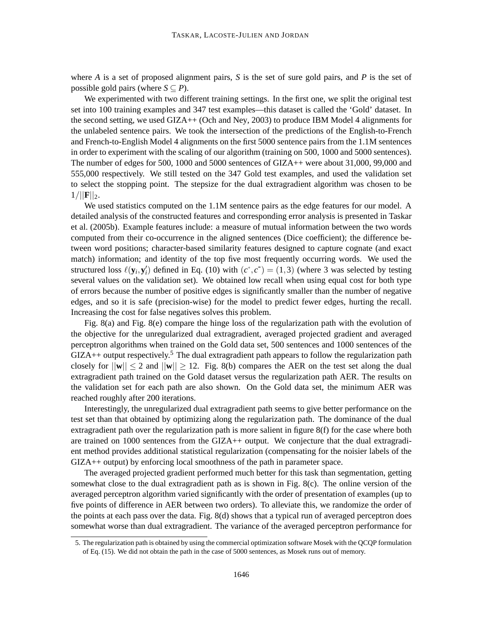where *A* is a set of proposed alignment pairs, *S* is the set of sure gold pairs, and *P* is the set of possible gold pairs (where  $S \subseteq P$ ).

We experimented with two different training settings. In the first one, we split the original test set into 100 training examples and 347 test examples—this dataset is called the 'Gold' dataset. In the second setting, we used GIZA++ (Och and Ney, 2003) to produce IBM Model 4 alignments for the unlabeled sentence pairs. We took the intersection of the predictions of the English-to-French and French-to-English Model 4 alignments on the first 5000 sentence pairs from the 1.1M sentences in order to experiment with the scaling of our algorithm (training on 500, 1000 and 5000 sentences). The number of edges for 500, 1000 and 5000 sentences of GIZA++ were about 31,000, 99,000 and 555,000 respectively. We still tested on the 347 Gold test examples, and used the validation set to select the stopping point. The stepsize for the dual extragradient algorithm was chosen to be  $1/||{\bf F}||_2.$ 

We used statistics computed on the 1.1M sentence pairs as the edge features for our model. A detailed analysis of the constructed features and corresponding error analysis is presented in Taskar et al. (2005b). Example features include: a measure of mutual information between the two words computed from their co-occurrence in the aligned sentences (Dice coefficient); the difference between word positions; character-based similarity features designed to capture cognate (and exact match) information; and identity of the top five most frequently occurring words. We used the structured loss  $\ell(\mathbf{y}_i, \mathbf{y}'_i)$  defined in Eq. (10) with  $(c^+, c^-) = (1, 3)$  (where 3 was selected by testing several values on the validation set). We obtained low recall when using equal cost for both type of errors because the number of positive edges is significantly smaller than the number of negative edges, and so it is safe (precision-wise) for the model to predict fewer edges, hurting the recall. Increasing the cost for false negatives solves this problem.

Fig. 8(a) and Fig. 8(e) compare the hinge loss of the regularization path with the evolution of the objective for the unregularized dual extragradient, averaged projected gradient and averaged perceptron algorithms when trained on the Gold data set, 500 sentences and 1000 sentences of the  $GIZA++$  output respectively.<sup>5</sup> The dual extragradient path appears to follow the regularization path closely for  $||\mathbf{w}|| \le 2$  and  $||\mathbf{w}|| \ge 12$ . Fig. 8(b) compares the AER on the test set along the dual extragradient path trained on the Gold dataset versus the regularization path AER. The results on the validation set for each path are also shown. On the Gold data set, the minimum AER was reached roughly after 200 iterations.

Interestingly, the unregularized dual extragradient path seems to give better performance on the test set than that obtained by optimizing along the regularization path. The dominance of the dual extragradient path over the regularization path is more salient in figure 8(f) for the case where both are trained on 1000 sentences from the GIZA++ output. We conjecture that the dual extragradient method provides additional statistical regularization (compensating for the noisier labels of the GIZA++ output) by enforcing local smoothness of the path in parameter space.

The averaged projected gradient performed much better for this task than segmentation, getting somewhat close to the dual extragradient path as is shown in Fig. 8(c). The online version of the averaged perceptron algorithm varied significantly with the order of presentation of examples (up to five points of difference in AER between two orders). To alleviate this, we randomize the order of the points at each pass over the data. Fig. 8(d) shows that a typical run of averaged perceptron does somewhat worse than dual extragradient. The variance of the averaged perceptron performance for

<sup>5.</sup> The regularization path is obtained by using the commercial optimization software Mosek with the QCQP formulation of Eq. (15). We did not obtain the path in the case of 5000 sentences, as Mosek runs out of memory.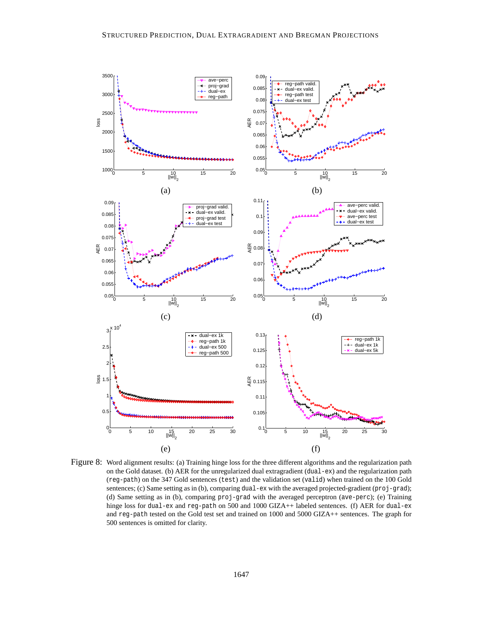

Figure 8: Word alignment results: (a) Training hinge loss for the three different algorithms and the regularization path on the Gold dataset. (b) AER for the unregularized dual extragradient (dual-ex) and the regularization path (reg-path) on the 347 Gold sentences (test) and the validation set (valid) when trained on the 100 Gold sentences; (c) Same setting as in (b), comparing dual-ex with the averaged projected-gradient (proj-grad); (d) Same setting as in (b), comparing proj-grad with the averaged perceptron (ave-perc); (e) Training hinge loss for dual-ex and reg-path on 500 and 1000 GIZA++ labeled sentences. (f) AER for dual-ex and reg-path tested on the Gold test set and trained on 1000 and 5000 GIZA++ sentences. The graph for 500 sentences is omitted for clarity.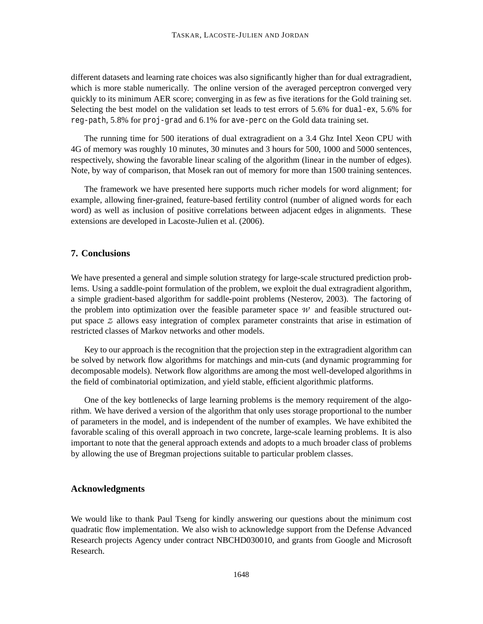different datasets and learning rate choices was also significantly higher than for dual extragradient, which is more stable numerically. The online version of the averaged perceptron converged very quickly to its minimum AER score; converging in as few as five iterations for the Gold training set. Selecting the best model on the validation set leads to test errors of 5.6% for dual-ex, 5.6% for reg-path, 5.8% for proj-grad and 6.1% for ave-perc on the Gold data training set.

The running time for 500 iterations of dual extragradient on a 3.4 Ghz Intel Xeon CPU with 4G of memory was roughly 10 minutes, 30 minutes and 3 hours for 500, 1000 and 5000 sentences, respectively, showing the favorable linear scaling of the algorithm (linear in the number of edges). Note, by way of comparison, that Mosek ran out of memory for more than 1500 training sentences.

The framework we have presented here supports much richer models for word alignment; for example, allowing finer-grained, feature-based fertility control (number of aligned words for each word) as well as inclusion of positive correlations between adjacent edges in alignments. These extensions are developed in Lacoste-Julien et al. (2006).

## **7. Conclusions**

We have presented a general and simple solution strategy for large-scale structured prediction problems. Using a saddle-point formulation of the problem, we exploit the dual extragradient algorithm, a simple gradient-based algorithm for saddle-point problems (Nesterov, 2003). The factoring of the problem into optimization over the feasible parameter space  $W$  and feasible structured output space *Z* allows easy integration of complex parameter constraints that arise in estimation of restricted classes of Markov networks and other models.

Key to our approach is the recognition that the projection step in the extragradient algorithm can be solved by network flow algorithms for matchings and min-cuts (and dynamic programming for decomposable models). Network flow algorithms are among the most well-developed algorithms in the field of combinatorial optimization, and yield stable, efficient algorithmic platforms.

One of the key bottlenecks of large learning problems is the memory requirement of the algorithm. We have derived a version of the algorithm that only uses storage proportional to the number of parameters in the model, and is independent of the number of examples. We have exhibited the favorable scaling of this overall approach in two concrete, large-scale learning problems. It is also important to note that the general approach extends and adopts to a much broader class of problems by allowing the use of Bregman projections suitable to particular problem classes.

## **Acknowledgments**

We would like to thank Paul Tseng for kindly answering our questions about the minimum cost quadratic flow implementation. We also wish to acknowledge support from the Defense Advanced Research projects Agency under contract NBCHD030010, and grants from Google and Microsoft Research.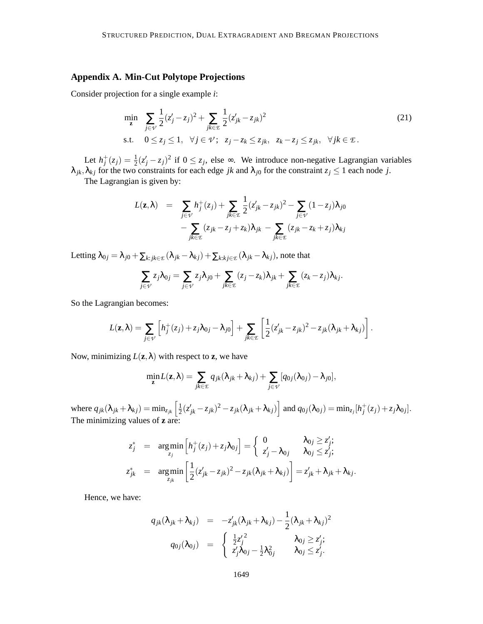# **Appendix A. Min-Cut Polytope Projections**

Consider projection for a single example *i*:

$$
\min_{\mathbf{z}} \sum_{j \in \mathcal{V}} \frac{1}{2} (z_j' - z_j)^2 + \sum_{jk \in \mathcal{I}} \frac{1}{2} (z_{jk}' - z_{jk})^2
$$
\n
$$
\text{s.t.} \quad 0 \le z_j \le 1, \quad \forall j \in \mathcal{V}; \quad z_j - z_k \le z_{jk}, \quad z_k - z_j \le z_{jk}, \quad \forall j k \in \mathcal{I}.
$$
\n
$$
(21)
$$

Let  $h_j^+(z_j) = \frac{1}{2}(z_j'-z_j)^2$  if  $0 \le z_j$ , else  $\infty$ . We introduce non-negative Lagrangian variables  $\lambda_{jk}, \lambda_{kj}$  for the two constraints for each edge *jk* and  $\lambda_{j0}$  for the constraint  $z_j \le 1$  each node *j*.

The Lagrangian is given by:

$$
L(\mathbf{z}, \lambda) = \sum_{j \in \mathcal{V}} h_j^+(z_j) + \sum_{jk \in \mathcal{I}} \frac{1}{2} (z'_{jk} - z_{jk})^2 - \sum_{j \in \mathcal{V}} (1 - z_j) \lambda_{j0} - \sum_{jk \in \mathcal{I}} (z_{jk} - z_j + z_k) \lambda_{jk} - \sum_{jk \in \mathcal{I}} (z_{jk} - z_k + z_j) \lambda_{kj}
$$

Letting  $\lambda_{0j} = \lambda_{j0} + \sum_{k: jk \in \mathcal{E}} (\lambda_{jk} - \lambda_{kj}) + \sum_{k: k: j \in \mathcal{E}} (\lambda_{jk} - \lambda_{kj}),$  note that

$$
\sum_{j\in\mathcal{V}}z_j\lambda_{0j}=\sum_{j\in\mathcal{V}}z_j\lambda_{j0}+\sum_{jk\in\mathcal{I}}(z_j-z_k)\lambda_{jk}+\sum_{jk\in\mathcal{I}}(z_k-z_j)\lambda_{kj}.
$$

So the Lagrangian becomes:

$$
L(\mathbf{z},\lambda)=\sum_{j\in\mathcal{V}}\left[h_j^+(z_j)+z_j\lambda_{0j}-\lambda_{j0}\right]+\sum_{jk\in\mathcal{I}}\left[\frac{1}{2}(z'_{jk}-z_{jk})^2-z_{jk}(\lambda_{jk}+\lambda_{kj})\right].
$$

Now, minimizing  $L(\mathbf{z}, \lambda)$  with respect to **z**, we have

$$
\min_{\mathbf{z}} L(\mathbf{z}, \lambda) = \sum_{jk \in \mathcal{L}} q_{jk} (\lambda_{jk} + \lambda_{kj}) + \sum_{j \in \mathcal{V}} [q_{0j}(\lambda_{0j}) - \lambda_{j0}],
$$

where  $q_{jk}(\lambda_{jk} + \lambda_{kj}) = \min_{z_{jk}} \left[\frac{1}{2}\right]$  $\frac{1}{2}(z'_{jk} - z_{jk})^2 - z_{jk}(\lambda_{jk} + \lambda_{kj})$  and  $q_{0j}(\lambda_{0j}) = \min_{z_j} [h_j^+(z_j) + z_j\lambda_{0j}]$ . The minimizing values of **z** are:

$$
z_j^* = \underset{z_j}{\arg\min} \left[ h_j^+(z_j) + z_j \lambda_{0j} \right] = \begin{cases} 0 & \lambda_{0j} \ge z'_j; \\ z'_j - \lambda_{0j} & \lambda_{0j} \le z'_j; \end{cases}
$$
  

$$
z_{jk}^* = \underset{z_{jk}}{\arg\min} \left[ \frac{1}{2} (z'_{jk} - z_{jk})^2 - z_{jk} (\lambda_{jk} + \lambda_{kj}) \right] = z'_{jk} + \lambda_{jk} + \lambda_{kj}.
$$

Hence, we have:

$$
q_{jk}(\lambda_{jk}+\lambda_{kj}) = -z'_{jk}(\lambda_{jk}+\lambda_{kj}) - \frac{1}{2}(\lambda_{jk}+\lambda_{kj})^2
$$
  

$$
q_{0j}(\lambda_{0j}) = \begin{cases} \frac{1}{2}z'^2_j & \lambda_{0j} \ge z'_j; \\ z'_j\lambda_{0j} - \frac{1}{2}\lambda_{0j}^2 & \lambda_{0j} \le z'_j. \end{cases}
$$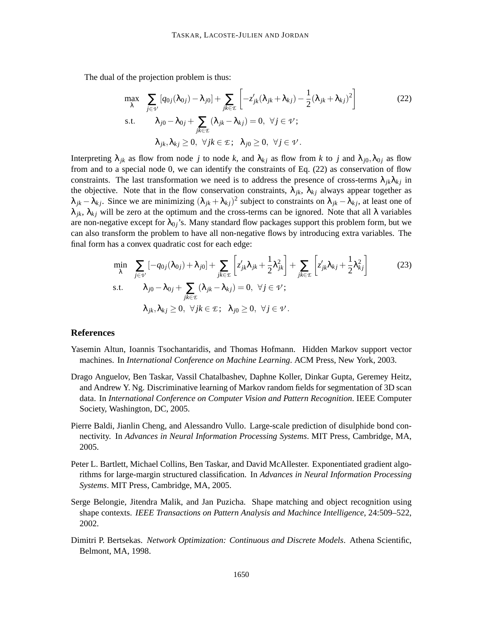The dual of the projection problem is thus:

$$
\max_{\lambda} \sum_{j \in \mathcal{V}} [q_{0j}(\lambda_{0j}) - \lambda_{j0}] + \sum_{jk \in \mathcal{E}} \left[ -z'_{jk}(\lambda_{jk} + \lambda_{kj}) - \frac{1}{2}(\lambda_{jk} + \lambda_{kj})^2 \right]
$$
\n
$$
\text{s.t.} \quad \lambda_{j0} - \lambda_{0j} + \sum_{jk \in \mathcal{E}} (\lambda_{jk} - \lambda_{kj}) = 0, \ \forall j \in \mathcal{V};
$$
\n
$$
\lambda_{jk}, \lambda_{kj} \ge 0, \ \forall j k \in \mathcal{E}; \ \lambda_{j0} \ge 0, \ \forall j \in \mathcal{V}.
$$
\n(22)

Interpreting  $\lambda_{jk}$  as flow from node *j* to node k, and  $\lambda_{kj}$  as flow from k to *j* and  $\lambda_{j0}$ ,  $\lambda_{0j}$  as flow from and to a special node 0, we can identify the constraints of Eq. (22) as conservation of flow constraints. The last transformation we need is to address the presence of cross-terms  $\lambda_{ik}\lambda_{ki}$  in the objective. Note that in the flow conservation constraints,  $\lambda_{ik}$ ,  $\lambda_{ki}$  always appear together as  $\lambda_{jk} - \lambda_{kj}$ . Since we are minimizing  $(\lambda_{jk} + \lambda_{kj})^2$  subject to constraints on  $\lambda_{jk} - \lambda_{kj}$ , at least one of  $\lambda_{ik}$ ,  $\lambda_{ki}$  will be zero at the optimum and the cross-terms can be ignored. Note that all  $\lambda$  variables are non-negative except for  $\lambda_{0}$ <sup>'</sup>s. Many standard flow packages support this problem form, but we can also transform the problem to have all non-negative flows by introducing extra variables. The final form has a convex quadratic cost for each edge:

$$
\min_{\lambda} \sum_{j \in \mathcal{V}} \left[ -q_{0j}(\lambda_{0j}) + \lambda_{j0} \right] + \sum_{jk \in \mathcal{I}} \left[ z'_{jk}\lambda_{jk} + \frac{1}{2}\lambda_{jk}^2 \right] + \sum_{jk \in \mathcal{I}} \left[ z'_{jk}\lambda_{kj} + \frac{1}{2}\lambda_{kj}^2 \right]
$$
\ns.t.

\n
$$
\lambda_{j0} - \lambda_{0j} + \sum_{jk \in \mathcal{I}} (\lambda_{jk} - \lambda_{kj}) = 0, \ \forall j \in \mathcal{V};
$$
\n
$$
\lambda_{jk}, \lambda_{kj} \geq 0, \ \forall j k \in \mathcal{I}; \ \lambda_{j0} \geq 0, \ \forall j \in \mathcal{V}.
$$
\n(23)

# **References**

- Yasemin Altun, Ioannis Tsochantaridis, and Thomas Hofmann. Hidden Markov support vector machines. In *International Conference on Machine Learning*. ACM Press, New York, 2003.
- Drago Anguelov, Ben Taskar, Vassil Chatalbashev, Daphne Koller, Dinkar Gupta, Geremey Heitz, and Andrew Y. Ng. Discriminative learning of Markov random fields for segmentation of 3D scan data. In *International Conference on Computer Vision and Pattern Recognition*. IEEE Computer Society, Washington, DC, 2005.
- Pierre Baldi, Jianlin Cheng, and Alessandro Vullo. Large-scale prediction of disulphide bond connectivity. In *Advances in Neural Information Processing Systems*. MIT Press, Cambridge, MA, 2005.
- Peter L. Bartlett, Michael Collins, Ben Taskar, and David McAllester. Exponentiated gradient algorithms for large-margin structured classification. In *Advances in Neural Information Processing Systems*. MIT Press, Cambridge, MA, 2005.
- Serge Belongie, Jitendra Malik, and Jan Puzicha. Shape matching and object recognition using shape contexts. *IEEE Transactions on Pattern Analysis and Machince Intelligence*, 24:509–522, 2002.
- Dimitri P. Bertsekas. *Network Optimization: Continuous and Discrete Models*. Athena Scientific, Belmont, MA, 1998.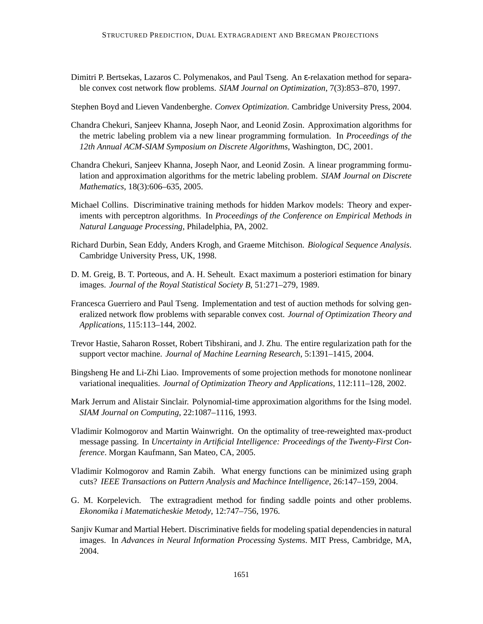Dimitri P. Bertsekas, Lazaros C. Polymenakos, and Paul Tseng. An ε-relaxation method for separable convex cost network flow problems. *SIAM Journal on Optimization*, 7(3):853–870, 1997.

Stephen Boyd and Lieven Vandenberghe. *Convex Optimization*. Cambridge University Press, 2004.

- Chandra Chekuri, Sanjeev Khanna, Joseph Naor, and Leonid Zosin. Approximation algorithms for the metric labeling problem via a new linear programming formulation. In *Proceedings of the 12th Annual ACM-SIAM Symposium on Discrete Algorithms*, Washington, DC, 2001.
- Chandra Chekuri, Sanjeev Khanna, Joseph Naor, and Leonid Zosin. A linear programming formulation and approximation algorithms for the metric labeling problem. *SIAM Journal on Discrete Mathematics*, 18(3):606–635, 2005.
- Michael Collins. Discriminative training methods for hidden Markov models: Theory and experiments with perceptron algorithms. In *Proceedings of the Conference on Empirical Methods in Natural Language Processing*, Philadelphia, PA, 2002.
- Richard Durbin, Sean Eddy, Anders Krogh, and Graeme Mitchison. *Biological Sequence Analysis*. Cambridge University Press, UK, 1998.
- D. M. Greig, B. T. Porteous, and A. H. Seheult. Exact maximum a posteriori estimation for binary images. *Journal of the Royal Statistical Society B*, 51:271–279, 1989.
- Francesca Guerriero and Paul Tseng. Implementation and test of auction methods for solving generalized network flow problems with separable convex cost. *Journal of Optimization Theory and Applications*, 115:113–144, 2002.
- Trevor Hastie, Saharon Rosset, Robert Tibshirani, and J. Zhu. The entire regularization path for the support vector machine. *Journal of Machine Learning Research*, 5:1391–1415, 2004.
- Bingsheng He and Li-Zhi Liao. Improvements of some projection methods for monotone nonlinear variational inequalities. *Journal of Optimization Theory and Applications*, 112:111–128, 2002.
- Mark Jerrum and Alistair Sinclair. Polynomial-time approximation algorithms for the Ising model. *SIAM Journal on Computing*, 22:1087–1116, 1993.
- Vladimir Kolmogorov and Martin Wainwright. On the optimality of tree-reweighted max-product message passing. In *Uncertainty in Artificial Intelligence: Proceedings of the Twenty-First Conference*. Morgan Kaufmann, San Mateo, CA, 2005.
- Vladimir Kolmogorov and Ramin Zabih. What energy functions can be minimized using graph cuts? *IEEE Transactions on Pattern Analysis and Machince Intelligence*, 26:147–159, 2004.
- G. M. Korpelevich. The extragradient method for finding saddle points and other problems. *Ekonomika i Matematicheskie Metody*, 12:747–756, 1976.
- Sanjiv Kumar and Martial Hebert. Discriminative fields for modeling spatial dependencies in natural images. In *Advances in Neural Information Processing Systems*. MIT Press, Cambridge, MA, 2004.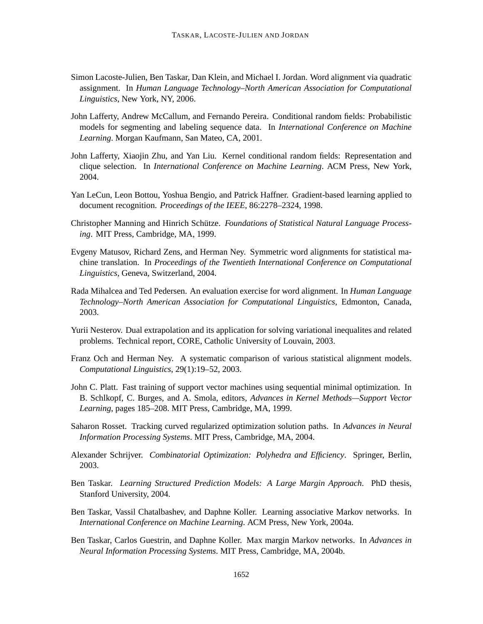- Simon Lacoste-Julien, Ben Taskar, Dan Klein, and Michael I. Jordan. Word alignment via quadratic assignment. In *Human Language Technology–North American Association for Computational Linguistics*, New York, NY, 2006.
- John Lafferty, Andrew McCallum, and Fernando Pereira. Conditional random fields: Probabilistic models for segmenting and labeling sequence data. In *International Conference on Machine Learning*. Morgan Kaufmann, San Mateo, CA, 2001.
- John Lafferty, Xiaojin Zhu, and Yan Liu. Kernel conditional random fields: Representation and clique selection. In *International Conference on Machine Learning*. ACM Press, New York, 2004.
- Yan LeCun, Leon Bottou, Yoshua Bengio, and Patrick Haffner. Gradient-based learning applied to document recognition. *Proceedings of the IEEE*, 86:2278–2324, 1998.
- Christopher Manning and Hinrich Schütze. *Foundations of Statistical Natural Language Processing*. MIT Press, Cambridge, MA, 1999.
- Evgeny Matusov, Richard Zens, and Herman Ney. Symmetric word alignments for statistical machine translation. In *Proceedings of the Twentieth International Conference on Computational Linguistics*, Geneva, Switzerland, 2004.
- Rada Mihalcea and Ted Pedersen. An evaluation exercise for word alignment. In *Human Language Technology–North American Association for Computational Linguistics*, Edmonton, Canada, 2003.
- Yurii Nesterov. Dual extrapolation and its application for solving variational inequalites and related problems. Technical report, CORE, Catholic University of Louvain, 2003.
- Franz Och and Herman Ney. A systematic comparison of various statistical alignment models. *Computational Linguistics*, 29(1):19–52, 2003.
- John C. Platt. Fast training of support vector machines using sequential minimal optimization. In B. Schlkopf, C. Burges, and A. Smola, editors, *Advances in Kernel Methods—Support Vector Learning*, pages 185–208. MIT Press, Cambridge, MA, 1999.
- Saharon Rosset. Tracking curved regularized optimization solution paths. In *Advances in Neural Information Processing Systems*. MIT Press, Cambridge, MA, 2004.
- Alexander Schrijver. *Combinatorial Optimization: Polyhedra and Efficiency*. Springer, Berlin, 2003.
- Ben Taskar. *Learning Structured Prediction Models: A Large Margin Approach*. PhD thesis, Stanford University, 2004.
- Ben Taskar, Vassil Chatalbashev, and Daphne Koller. Learning associative Markov networks. In *International Conference on Machine Learning*. ACM Press, New York, 2004a.
- Ben Taskar, Carlos Guestrin, and Daphne Koller. Max margin Markov networks. In *Advances in Neural Information Processing Systems*. MIT Press, Cambridge, MA, 2004b.